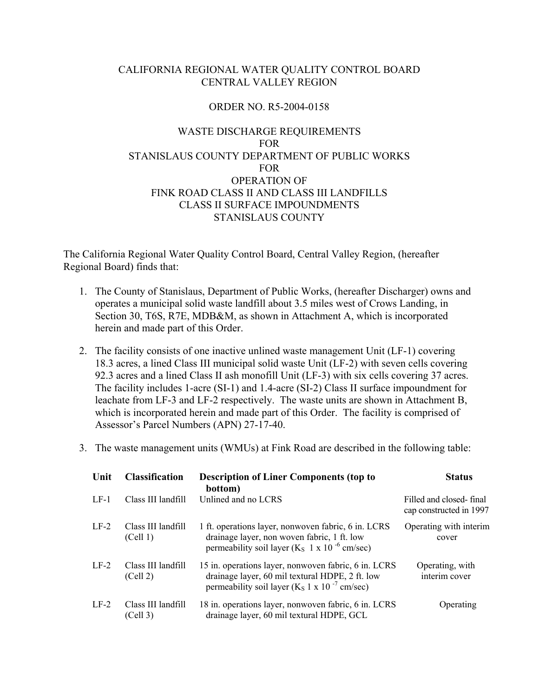## CALIFORNIA REGIONAL WATER QUALITY CONTROL BOARD CENTRAL VALLEY REGION

## ORDER NO. R5-2004-0158

# WASTE DISCHARGE REQUIREMENTS FOR STANISLAUS COUNTY DEPARTMENT OF PUBLIC WORKS FOR OPERATION OF FINK ROAD CLASS II AND CLASS III LANDFILLS CLASS II SURFACE IMPOUNDMENTS STANISLAUS COUNTY

The California Regional Water Quality Control Board, Central Valley Region, (hereafter Regional Board) finds that:

- 1. The County of Stanislaus, Department of Public Works, (hereafter Discharger) owns and operates a municipal solid waste landfill about 3.5 miles west of Crows Landing, in Section 30, T6S, R7E, MDB&M, as shown in Attachment A, which is incorporated herein and made part of this Order.
- 2. The facility consists of one inactive unlined waste management Unit (LF-1) covering 18.3 acres, a lined Class III municipal solid waste Unit (LF-2) with seven cells covering 92.3 acres and a lined Class II ash monofill Unit (LF-3) with six cells covering 37 acres. The facility includes 1-acre (SI-1) and 1.4-acre (SI-2) Class II surface impoundment for leachate from LF-3 and LF-2 respectively. The waste units are shown in Attachment B, which is incorporated herein and made part of this Order. The facility is comprised of Assessor's Parcel Numbers (APN) 27-17-40.
- 3. The waste management units (WMUs) at Fink Road are described in the following table:

| Unit   | <b>Classification</b>          | <b>Description of Liner Components (top to</b><br>bottom)                                                                                                               | <b>Status</b>                                      |
|--------|--------------------------------|-------------------------------------------------------------------------------------------------------------------------------------------------------------------------|----------------------------------------------------|
| $LE-1$ | Class III landfill             | Unlined and no LCRS                                                                                                                                                     | Filled and closed-final<br>cap constructed in 1997 |
| $LF-2$ | Class III landfill<br>(Cell 1) | 1 ft. operations layer, nonwoven fabric, 6 in. LCRS<br>drainage layer, non woven fabric, 1 ft. low<br>permeability soil layer ( $K_s$ 1 x 10 <sup>-6</sup> cm/sec)      | Operating with interim<br>cover                    |
| $LF-2$ | Class III landfill<br>(Cell 2) | 15 in. operations layer, nonwoven fabric, 6 in. LCRS<br>drainage layer, 60 mil textural HDPE, 2 ft. low<br>permeability soil layer ( $K_S$ 1 x 10 <sup>-7</sup> cm/sec) | Operating, with<br>interim cover                   |
| $LF-2$ | Class III landfill<br>(Cell 3) | 18 in. operations layer, nonwoven fabric, 6 in. LCRS<br>drainage layer, 60 mil textural HDPE, GCL                                                                       | Operating                                          |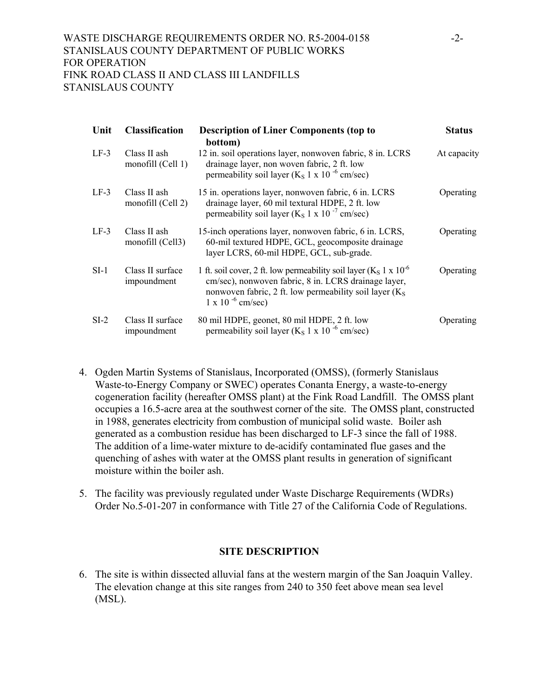| Unit   | <b>Classification</b>             | <b>Description of Liner Components (top to</b><br>bottom)                                                                                                                                                                           | <b>Status</b> |
|--------|-----------------------------------|-------------------------------------------------------------------------------------------------------------------------------------------------------------------------------------------------------------------------------------|---------------|
| $LF-3$ | Class II ash<br>monofill (Cell 1) | 12 in. soil operations layer, nonwoven fabric, 8 in. LCRS<br>drainage layer, non woven fabric, 2 ft. low<br>permeability soil layer ( $K_S$ 1 x 10 <sup>-6</sup> cm/sec)                                                            | At capacity   |
| $LF-3$ | Class II ash<br>monofill (Cell 2) | 15 in. operations layer, nonwoven fabric, 6 in. LCRS<br>drainage layer, 60 mil textural HDPE, 2 ft. low<br>permeability soil layer ( $K_S$ 1 x 10 <sup>-7</sup> cm/sec)                                                             | Operating     |
| $LF-3$ | Class II ash<br>monofill (Cell3)  | 15-inch operations layer, nonwoven fabric, 6 in. LCRS,<br>60-mil textured HDPE, GCL, geocomposite drainage<br>layer LCRS, 60-mil HDPE, GCL, sub-grade.                                                                              | Operating     |
| $SI-1$ | Class II surface<br>impoundment   | 1 ft. soil cover, 2 ft. low permeability soil layer ( $K_S$ 1 x 10 <sup>-6</sup><br>cm/sec), nonwoven fabric, 8 in. LCRS drainage layer,<br>nonwoven fabric, 2 ft. low permeability soil layer $(KS)$<br>$1 \times 10^{-6}$ cm/sec) | Operating     |
| $SI-2$ | Class II surface<br>impoundment   | 80 mil HDPE, geonet, 80 mil HDPE, 2 ft. low<br>permeability soil layer ( $K_S$ 1 x 10 <sup>-6</sup> cm/sec)                                                                                                                         | Operating     |

- 4. Ogden Martin Systems of Stanislaus, Incorporated (OMSS), (formerly Stanislaus Waste-to-Energy Company or SWEC) operates Conanta Energy, a waste-to-energy cogeneration facility (hereafter OMSS plant) at the Fink Road Landfill. The OMSS plant occupies a 16.5-acre area at the southwest corner of the site. The OMSS plant, constructed in 1988, generates electricity from combustion of municipal solid waste. Boiler ash generated as a combustion residue has been discharged to LF-3 since the fall of 1988. The addition of a lime-water mixture to de-acidify contaminated flue gases and the quenching of ashes with water at the OMSS plant results in generation of significant moisture within the boiler ash.
- 5. The facility was previously regulated under Waste Discharge Requirements (WDRs) Order No.5-01-207 in conformance with Title 27 of the California Code of Regulations.

## **SITE DESCRIPTION**

6. The site is within dissected alluvial fans at the western margin of the San Joaquin Valley. The elevation change at this site ranges from 240 to 350 feet above mean sea level (MSL).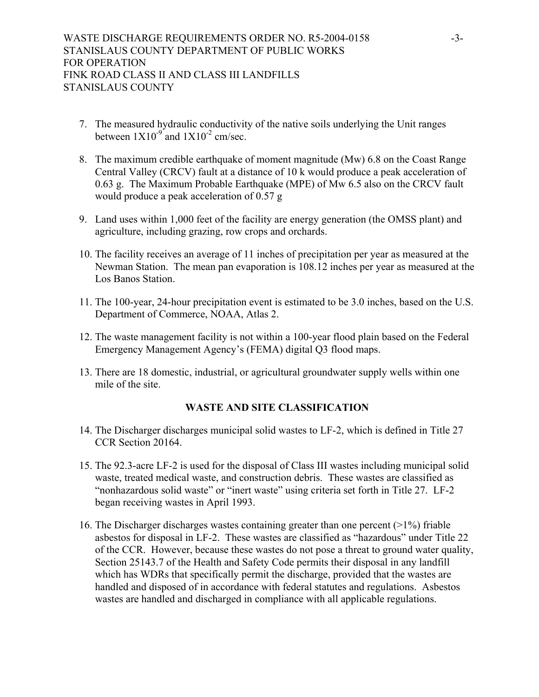- 7. The measured hydraulic conductivity of the native soils underlying the Unit ranges between  $1X10^{-9}$  and  $1X10^{-2}$  cm/sec.
- 8. The maximum credible earthquake of moment magnitude (Mw) 6.8 on the Coast Range Central Valley (CRCV) fault at a distance of 10 k would produce a peak acceleration of 0.63 g. The Maximum Probable Earthquake (MPE) of Mw 6.5 also on the CRCV fault would produce a peak acceleration of 0.57 g
- 9. Land uses within 1,000 feet of the facility are energy generation (the OMSS plant) and agriculture, including grazing, row crops and orchards.
- 10. The facility receives an average of 11 inches of precipitation per year as measured at the Newman Station. The mean pan evaporation is 108.12 inches per year as measured at the Los Banos Station.
- 11. The 100-year, 24-hour precipitation event is estimated to be 3.0 inches, based on the U.S. Department of Commerce, NOAA, Atlas 2.
- 12. The waste management facility is not within a 100-year flood plain based on the Federal Emergency Management Agency's (FEMA) digital Q3 flood maps.
- 13. There are 18 domestic, industrial, or agricultural groundwater supply wells within one mile of the site.

## **WASTE AND SITE CLASSIFICATION**

- 14. The Discharger discharges municipal solid wastes to LF-2, which is defined in Title 27 CCR Section 20164.
- 15. The 92.3-acre LF-2 is used for the disposal of Class III wastes including municipal solid waste, treated medical waste, and construction debris. These wastes are classified as "nonhazardous solid waste" or "inert waste" using criteria set forth in Title 27. LF-2 began receiving wastes in April 1993.
- 16. The Discharger discharges wastes containing greater than one percent (>1%) friable asbestos for disposal in LF-2. These wastes are classified as "hazardous" under Title 22 of the CCR. However, because these wastes do not pose a threat to ground water quality, Section 25143.7 of the Health and Safety Code permits their disposal in any landfill which has WDRs that specifically permit the discharge, provided that the wastes are handled and disposed of in accordance with federal statutes and regulations. Asbestos wastes are handled and discharged in compliance with all applicable regulations.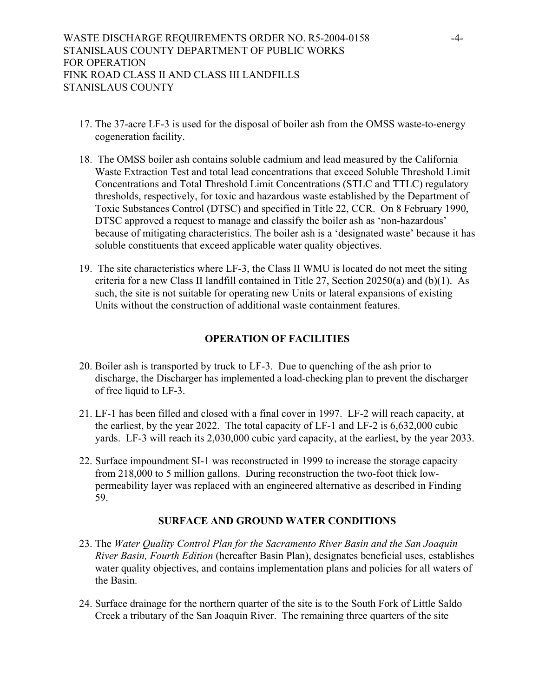- 17. The 37-acre LF-3 is used for the disposal of boiler ash from the OMSS waste-to-energy cogeneration facility.
- 18. The OMSS boiler ash contains soluble cadmium and lead measured by the California Waste Extraction Test and total lead concentrations that exceed Soluble Threshold Limit Concentrations and Total Threshold Limit Concentrations (STLC and TTLC) regulatory thresholds, respectively, for toxic and hazardous waste established by the Department of Toxic Substances Control (DTSC) and specified in Title 22, CCR. On 8 February 1990, DTSC approved a request to manage and classify the boiler ash as 'non-hazardous' because of mitigating characteristics. The boiler ash is a 'designated waste' because it has soluble constituents that exceed applicable water quality objectives.
- 19. The site characteristics where LF-3, the Class II WMU is located do not meet the siting criteria for a new Class II landfill contained in Title 27, Section 20250(a) and (b)(1). As such, the site is not suitable for operating new Units or lateral expansions of existing Units without the construction of additional waste containment features.

## **OPERATION OF FACILITIES**

- 20. Boiler ash is transported by truck to LF-3. Due to quenching of the ash prior to discharge, the Discharger has implemented a load-checking plan to prevent the discharger of free liquid to LF-3.
- 21. LF-1 has been filled and closed with a final cover in 1997. LF-2 will reach capacity, at the earliest, by the year 2022. The total capacity of LF-1 and LF-2 is 6,632,000 cubic yards. LF-3 will reach its 2,030,000 cubic yard capacity, at the earliest, by the year 2033.
- 22. Surface impoundment SI-1 was reconstructed in 1999 to increase the storage capacity from 218,000 to 5 million gallons. During reconstruction the two-foot thick lowpermeability layer was replaced with an engineered alternative as described in Finding 59.

## **SURFACE AND GROUND WATER CONDITIONS**

- 23. The *Water Quality Control Plan for the Sacramento River Basin and the San Joaquin River Basin, Fourth Edition* (hereafter Basin Plan), designates beneficial uses, establishes water quality objectives, and contains implementation plans and policies for all waters of the Basin.
- 24. Surface drainage for the northern quarter of the site is to the South Fork of Little Saldo Creek a tributary of the San Joaquin River. The remaining three quarters of the site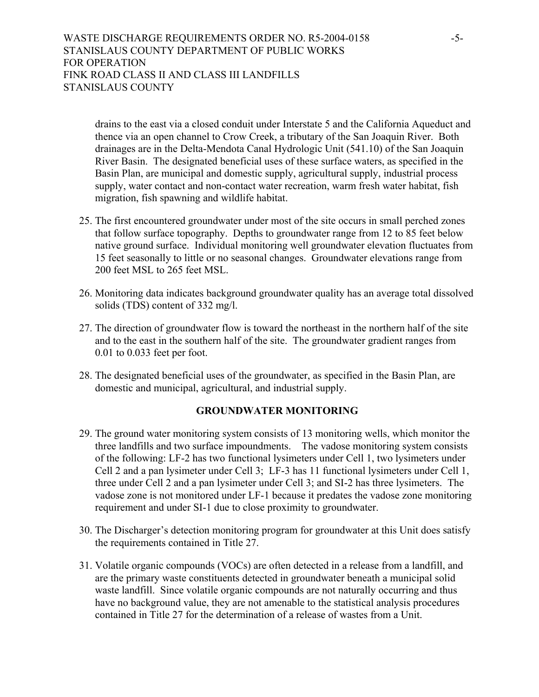drains to the east via a closed conduit under Interstate 5 and the California Aqueduct and thence via an open channel to Crow Creek, a tributary of the San Joaquin River. Both drainages are in the Delta-Mendota Canal Hydrologic Unit (541.10) of the San Joaquin River Basin. The designated beneficial uses of these surface waters, as specified in the Basin Plan, are municipal and domestic supply, agricultural supply, industrial process supply, water contact and non-contact water recreation, warm fresh water habitat, fish migration, fish spawning and wildlife habitat.

- 25. The first encountered groundwater under most of the site occurs in small perched zones that follow surface topography. Depths to groundwater range from 12 to 85 feet below native ground surface. Individual monitoring well groundwater elevation fluctuates from 15 feet seasonally to little or no seasonal changes. Groundwater elevations range from 200 feet MSL to 265 feet MSL.
- 26. Monitoring data indicates background groundwater quality has an average total dissolved solids (TDS) content of 332 mg/l.
- 27. The direction of groundwater flow is toward the northeast in the northern half of the site and to the east in the southern half of the site. The groundwater gradient ranges from 0.01 to 0.033 feet per foot.
- 28. The designated beneficial uses of the groundwater, as specified in the Basin Plan, are domestic and municipal, agricultural, and industrial supply.

#### **GROUNDWATER MONITORING**

- 29. The ground water monitoring system consists of 13 monitoring wells, which monitor the three landfills and two surface impoundments. The vadose monitoring system consists of the following: LF-2 has two functional lysimeters under Cell 1, two lysimeters under Cell 2 and a pan lysimeter under Cell 3; LF-3 has 11 functional lysimeters under Cell 1, three under Cell 2 and a pan lysimeter under Cell 3; and SI-2 has three lysimeters. The vadose zone is not monitored under LF-1 because it predates the vadose zone monitoring requirement and under SI-1 due to close proximity to groundwater.
- 30. The Discharger's detection monitoring program for groundwater at this Unit does satisfy the requirements contained in Title 27.
- 31. Volatile organic compounds (VOCs) are often detected in a release from a landfill, and are the primary waste constituents detected in groundwater beneath a municipal solid waste landfill. Since volatile organic compounds are not naturally occurring and thus have no background value, they are not amenable to the statistical analysis procedures contained in Title 27 for the determination of a release of wastes from a Unit.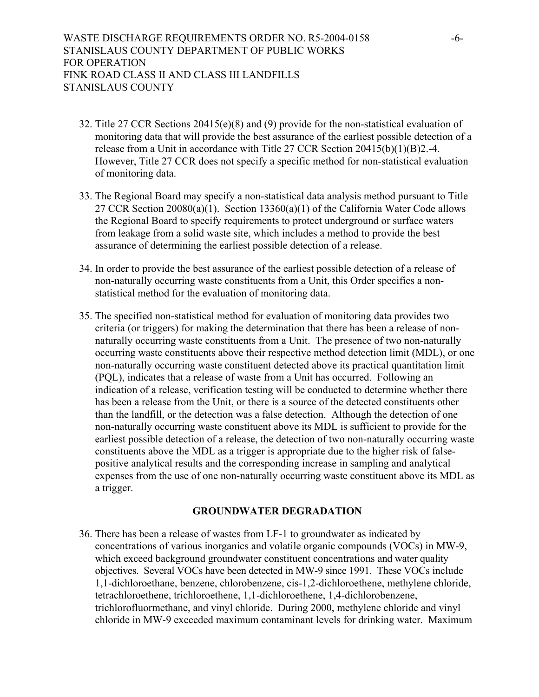- 32. Title 27 CCR Sections 20415(e)(8) and (9) provide for the non-statistical evaluation of monitoring data that will provide the best assurance of the earliest possible detection of a release from a Unit in accordance with Title 27 CCR Section 20415(b)(1)(B)2.-4. However, Title 27 CCR does not specify a specific method for non-statistical evaluation of monitoring data.
- 33. The Regional Board may specify a non-statistical data analysis method pursuant to Title 27 CCR Section  $20080(a)(1)$ . Section 13360(a)(1) of the California Water Code allows the Regional Board to specify requirements to protect underground or surface waters from leakage from a solid waste site, which includes a method to provide the best assurance of determining the earliest possible detection of a release.
- 34. In order to provide the best assurance of the earliest possible detection of a release of non-naturally occurring waste constituents from a Unit, this Order specifies a nonstatistical method for the evaluation of monitoring data.
- 35. The specified non-statistical method for evaluation of monitoring data provides two criteria (or triggers) for making the determination that there has been a release of nonnaturally occurring waste constituents from a Unit. The presence of two non-naturally occurring waste constituents above their respective method detection limit (MDL), or one non-naturally occurring waste constituent detected above its practical quantitation limit (PQL), indicates that a release of waste from a Unit has occurred. Following an indication of a release, verification testing will be conducted to determine whether there has been a release from the Unit, or there is a source of the detected constituents other than the landfill, or the detection was a false detection. Although the detection of one non-naturally occurring waste constituent above its MDL is sufficient to provide for the earliest possible detection of a release, the detection of two non-naturally occurring waste constituents above the MDL as a trigger is appropriate due to the higher risk of falsepositive analytical results and the corresponding increase in sampling and analytical expenses from the use of one non-naturally occurring waste constituent above its MDL as a trigger.

#### **GROUNDWATER DEGRADATION**

36. There has been a release of wastes from LF-1 to groundwater as indicated by concentrations of various inorganics and volatile organic compounds (VOCs) in MW-9, which exceed background groundwater constituent concentrations and water quality objectives. Several VOCs have been detected in MW-9 since 1991. These VOCs include 1,1-dichloroethane, benzene, chlorobenzene, cis-1,2-dichloroethene, methylene chloride, tetrachloroethene, trichloroethene, 1,1-dichloroethene, 1,4-dichlorobenzene, trichlorofluormethane, and vinyl chloride. During 2000, methylene chloride and vinyl chloride in MW-9 exceeded maximum contaminant levels for drinking water. Maximum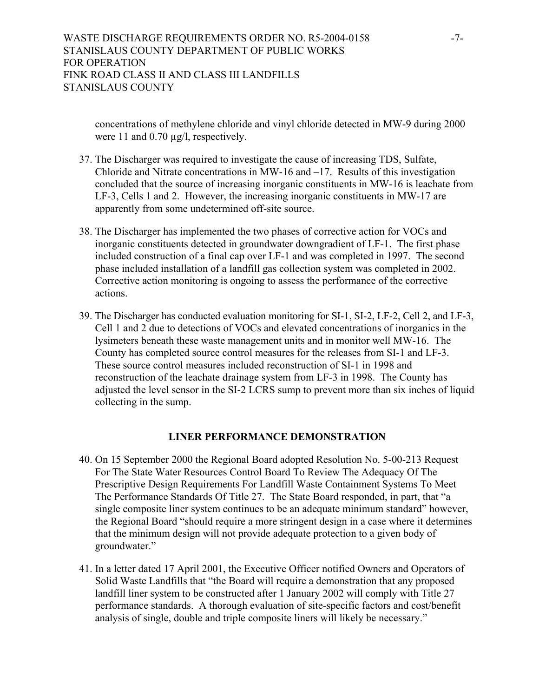concentrations of methylene chloride and vinyl chloride detected in MW-9 during 2000 were 11 and 0.70  $\mu$ g/l, respectively.

- 37. The Discharger was required to investigate the cause of increasing TDS, Sulfate, Chloride and Nitrate concentrations in MW-16 and –17. Results of this investigation concluded that the source of increasing inorganic constituents in MW-16 is leachate from LF-3, Cells 1 and 2. However, the increasing inorganic constituents in MW-17 are apparently from some undetermined off-site source.
- 38. The Discharger has implemented the two phases of corrective action for VOCs and inorganic constituents detected in groundwater downgradient of LF-1. The first phase included construction of a final cap over LF-1 and was completed in 1997. The second phase included installation of a landfill gas collection system was completed in 2002. Corrective action monitoring is ongoing to assess the performance of the corrective actions.
- 39. The Discharger has conducted evaluation monitoring for SI-1, SI-2, LF-2, Cell 2, and LF-3, Cell 1 and 2 due to detections of VOCs and elevated concentrations of inorganics in the lysimeters beneath these waste management units and in monitor well MW-16. The County has completed source control measures for the releases from SI-1 and LF-3. These source control measures included reconstruction of SI-1 in 1998 and reconstruction of the leachate drainage system from LF-3 in 1998. The County has adjusted the level sensor in the SI-2 LCRS sump to prevent more than six inches of liquid collecting in the sump.

## **LINER PERFORMANCE DEMONSTRATION**

- 40. On 15 September 2000 the Regional Board adopted Resolution No. 5-00-213 Request For The State Water Resources Control Board To Review The Adequacy Of The Prescriptive Design Requirements For Landfill Waste Containment Systems To Meet The Performance Standards Of Title 27. The State Board responded, in part, that "a single composite liner system continues to be an adequate minimum standard" however, the Regional Board "should require a more stringent design in a case where it determines that the minimum design will not provide adequate protection to a given body of groundwater."
- 41. In a letter dated 17 April 2001, the Executive Officer notified Owners and Operators of Solid Waste Landfills that "the Board will require a demonstration that any proposed landfill liner system to be constructed after 1 January 2002 will comply with Title 27 performance standards. A thorough evaluation of site-specific factors and cost/benefit analysis of single, double and triple composite liners will likely be necessary."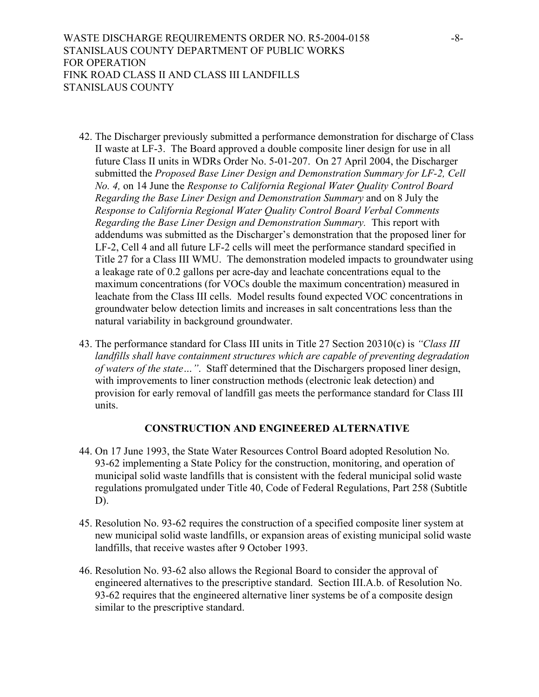- 42. The Discharger previously submitted a performance demonstration for discharge of Class II waste at LF-3. The Board approved a double composite liner design for use in all future Class II units in WDRs Order No. 5-01-207. On 27 April 2004, the Discharger submitted the *Proposed Base Liner Design and Demonstration Summary for LF-2, Cell No. 4,* on 14 June the *Response to California Regional Water Quality Control Board Regarding the Base Liner Design and Demonstration Summary* and on 8 July the *Response to California Regional Water Quality Control Board Verbal Comments Regarding the Base Liner Design and Demonstration Summary.* This report with addendums was submitted as the Discharger's demonstration that the proposed liner for LF-2, Cell 4 and all future LF-2 cells will meet the performance standard specified in Title 27 for a Class III WMU. The demonstration modeled impacts to groundwater using a leakage rate of 0.2 gallons per acre-day and leachate concentrations equal to the maximum concentrations (for VOCs double the maximum concentration) measured in leachate from the Class III cells. Model results found expected VOC concentrations in groundwater below detection limits and increases in salt concentrations less than the natural variability in background groundwater.
- 43. The performance standard for Class III units in Title 27 Section 20310(c) is *"Class III landfills shall have containment structures which are capable of preventing degradation of waters of the state…"*. Staff determined that the Dischargers proposed liner design, with improvements to liner construction methods (electronic leak detection) and provision for early removal of landfill gas meets the performance standard for Class III units.

# **CONSTRUCTION AND ENGINEERED ALTERNATIVE**

- 44. On 17 June 1993, the State Water Resources Control Board adopted Resolution No. 93-62 implementing a State Policy for the construction, monitoring, and operation of municipal solid waste landfills that is consistent with the federal municipal solid waste regulations promulgated under Title 40, Code of Federal Regulations, Part 258 (Subtitle D).
- 45. Resolution No. 93-62 requires the construction of a specified composite liner system at new municipal solid waste landfills, or expansion areas of existing municipal solid waste landfills, that receive wastes after 9 October 1993.
- 46. Resolution No. 93-62 also allows the Regional Board to consider the approval of engineered alternatives to the prescriptive standard. Section III.A.b. of Resolution No. 93-62 requires that the engineered alternative liner systems be of a composite design similar to the prescriptive standard.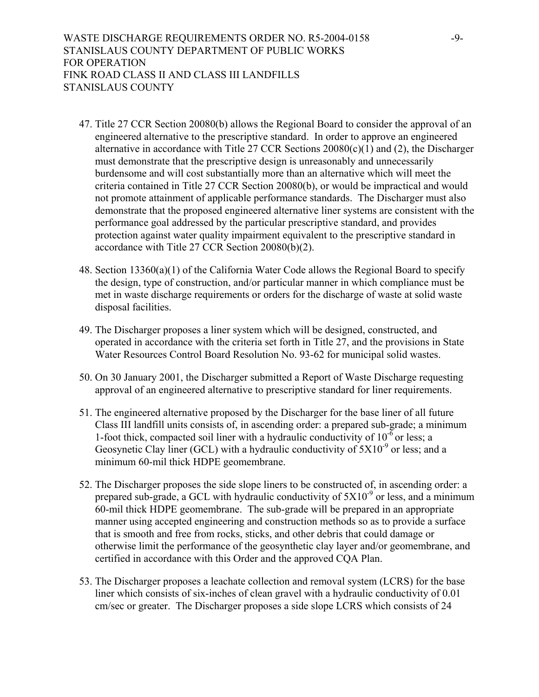WASTE DISCHARGE REQUIREMENTS ORDER NO. R5-2004-0158 -9-STANISLAUS COUNTY DEPARTMENT OF PUBLIC WORKS FOR OPERATION FINK ROAD CLASS II AND CLASS III LANDFILLS STANISLAUS COUNTY

- 47. Title 27 CCR Section 20080(b) allows the Regional Board to consider the approval of an engineered alternative to the prescriptive standard. In order to approve an engineered alternative in accordance with Title 27 CCR Sections 20080(c)(1) and (2), the Discharger must demonstrate that the prescriptive design is unreasonably and unnecessarily burdensome and will cost substantially more than an alternative which will meet the criteria contained in Title 27 CCR Section 20080(b), or would be impractical and would not promote attainment of applicable performance standards. The Discharger must also demonstrate that the proposed engineered alternative liner systems are consistent with the performance goal addressed by the particular prescriptive standard, and provides protection against water quality impairment equivalent to the prescriptive standard in accordance with Title 27 CCR Section 20080(b)(2).
- 48. Section 13360(a)(1) of the California Water Code allows the Regional Board to specify the design, type of construction, and/or particular manner in which compliance must be met in waste discharge requirements or orders for the discharge of waste at solid waste disposal facilities.
- 49. The Discharger proposes a liner system which will be designed, constructed, and operated in accordance with the criteria set forth in Title 27, and the provisions in State Water Resources Control Board Resolution No. 93-62 for municipal solid wastes.
- 50. On 30 January 2001, the Discharger submitted a Report of Waste Discharge requesting approval of an engineered alternative to prescriptive standard for liner requirements.
- 51. The engineered alternative proposed by the Discharger for the base liner of all future Class III landfill units consists of, in ascending order: a prepared sub-grade; a minimum 1-foot thick, compacted soil liner with a hydraulic conductivity of  $10^{-6}$  or less; a Geosynetic Clay liner (GCL) with a hydraulic conductivity of  $5X10^{-9}$  or less; and a minimum 60-mil thick HDPE geomembrane.
- 52. The Discharger proposes the side slope liners to be constructed of, in ascending order: a prepared sub-grade, a GCL with hydraulic conductivity of  $5X10^{-9}$  or less, and a minimum 60-mil thick HDPE geomembrane. The sub-grade will be prepared in an appropriate manner using accepted engineering and construction methods so as to provide a surface that is smooth and free from rocks, sticks, and other debris that could damage or otherwise limit the performance of the geosynthetic clay layer and/or geomembrane, and certified in accordance with this Order and the approved CQA Plan.
- 53. The Discharger proposes a leachate collection and removal system (LCRS) for the base liner which consists of six-inches of clean gravel with a hydraulic conductivity of 0.01 cm/sec or greater. The Discharger proposes a side slope LCRS which consists of 24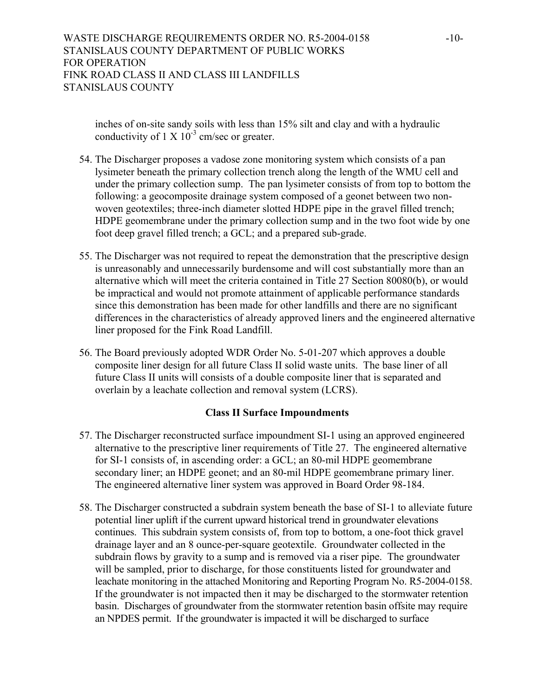inches of on-site sandy soils with less than 15% silt and clay and with a hydraulic conductivity of 1 X  $10^{-3}$  cm/sec or greater.

- 54. The Discharger proposes a vadose zone monitoring system which consists of a pan lysimeter beneath the primary collection trench along the length of the WMU cell and under the primary collection sump. The pan lysimeter consists of from top to bottom the following: a geocomposite drainage system composed of a geonet between two nonwoven geotextiles; three-inch diameter slotted HDPE pipe in the gravel filled trench; HDPE geomembrane under the primary collection sump and in the two foot wide by one foot deep gravel filled trench; a GCL; and a prepared sub-grade.
- 55. The Discharger was not required to repeat the demonstration that the prescriptive design is unreasonably and unnecessarily burdensome and will cost substantially more than an alternative which will meet the criteria contained in Title 27 Section 80080(b), or would be impractical and would not promote attainment of applicable performance standards since this demonstration has been made for other landfills and there are no significant differences in the characteristics of already approved liners and the engineered alternative liner proposed for the Fink Road Landfill.
- 56. The Board previously adopted WDR Order No. 5-01-207 which approves a double composite liner design for all future Class II solid waste units. The base liner of all future Class II units will consists of a double composite liner that is separated and overlain by a leachate collection and removal system (LCRS).

## **Class II Surface Impoundments**

- 57. The Discharger reconstructed surface impoundment SI-1 using an approved engineered alternative to the prescriptive liner requirements of Title 27. The engineered alternative for SI-1 consists of, in ascending order: a GCL; an 80-mil HDPE geomembrane secondary liner; an HDPE geonet; and an 80-mil HDPE geomembrane primary liner. The engineered alternative liner system was approved in Board Order 98-184.
- 58. The Discharger constructed a subdrain system beneath the base of SI-1 to alleviate future potential liner uplift if the current upward historical trend in groundwater elevations continues. This subdrain system consists of, from top to bottom, a one-foot thick gravel drainage layer and an 8 ounce-per-square geotextile. Groundwater collected in the subdrain flows by gravity to a sump and is removed via a riser pipe. The groundwater will be sampled, prior to discharge, for those constituents listed for groundwater and leachate monitoring in the attached Monitoring and Reporting Program No. R5-2004-0158. If the groundwater is not impacted then it may be discharged to the stormwater retention basin. Discharges of groundwater from the stormwater retention basin offsite may require an NPDES permit. If the groundwater is impacted it will be discharged to surface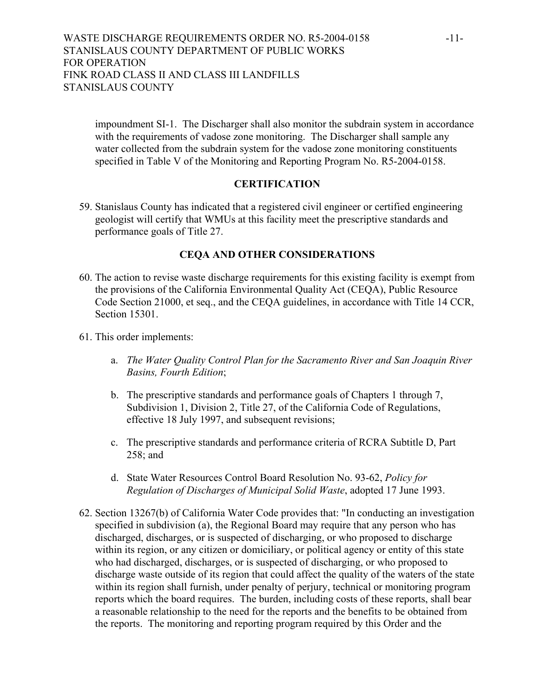impoundment SI-1. The Discharger shall also monitor the subdrain system in accordance with the requirements of vadose zone monitoring. The Discharger shall sample any water collected from the subdrain system for the vadose zone monitoring constituents specified in Table V of the Monitoring and Reporting Program No. R5-2004-0158.

#### **CERTIFICATION**

59. Stanislaus County has indicated that a registered civil engineer or certified engineering geologist will certify that WMUs at this facility meet the prescriptive standards and performance goals of Title 27.

# **CEQA AND OTHER CONSIDERATIONS**

- 60. The action to revise waste discharge requirements for this existing facility is exempt from the provisions of the California Environmental Quality Act (CEQA), Public Resource Code Section 21000, et seq., and the CEQA guidelines, in accordance with Title 14 CCR, Section 15301
- 61. This order implements:
	- a. *The Water Quality Control Plan for the Sacramento River and San Joaquin River Basins, Fourth Edition*;
	- b. The prescriptive standards and performance goals of Chapters 1 through 7, Subdivision 1, Division 2, Title 27, of the California Code of Regulations, effective 18 July 1997, and subsequent revisions;
	- c. The prescriptive standards and performance criteria of RCRA Subtitle D, Part 258; and
	- d. State Water Resources Control Board Resolution No. 93-62, *Policy for Regulation of Discharges of Municipal Solid Waste*, adopted 17 June 1993.
- 62. Section 13267(b) of California Water Code provides that: "In conducting an investigation specified in subdivision (a), the Regional Board may require that any person who has discharged, discharges, or is suspected of discharging, or who proposed to discharge within its region, or any citizen or domiciliary, or political agency or entity of this state who had discharged, discharges, or is suspected of discharging, or who proposed to discharge waste outside of its region that could affect the quality of the waters of the state within its region shall furnish, under penalty of perjury, technical or monitoring program reports which the board requires. The burden, including costs of these reports, shall bear a reasonable relationship to the need for the reports and the benefits to be obtained from the reports. The monitoring and reporting program required by this Order and the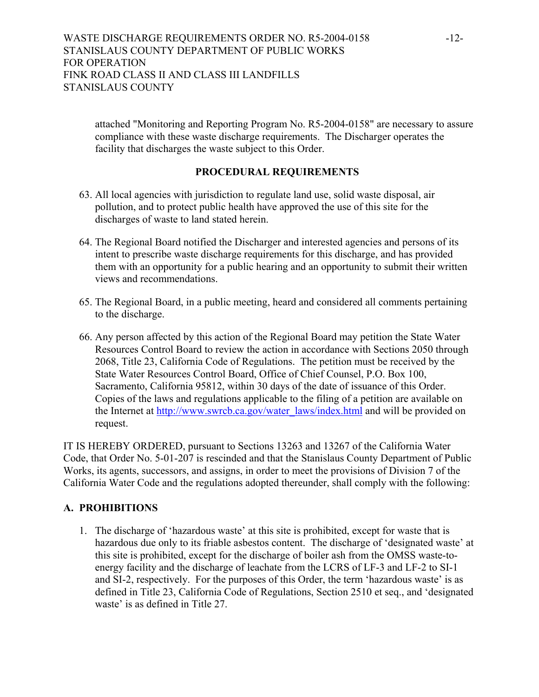attached "Monitoring and Reporting Program No. R5-2004-0158" are necessary to assure compliance with these waste discharge requirements. The Discharger operates the facility that discharges the waste subject to this Order.

## **PROCEDURAL REQUIREMENTS**

- 63. All local agencies with jurisdiction to regulate land use, solid waste disposal, air pollution, and to protect public health have approved the use of this site for the discharges of waste to land stated herein.
- 64. The Regional Board notified the Discharger and interested agencies and persons of its intent to prescribe waste discharge requirements for this discharge, and has provided them with an opportunity for a public hearing and an opportunity to submit their written views and recommendations.
- 65. The Regional Board, in a public meeting, heard and considered all comments pertaining to the discharge.
- 66. Any person affected by this action of the Regional Board may petition the State Water Resources Control Board to review the action in accordance with Sections 2050 through 2068, Title 23, California Code of Regulations. The petition must be received by the State Water Resources Control Board, Office of Chief Counsel, P.O. Box 100, Sacramento, California 95812, within 30 days of the date of issuance of this Order. Copies of the laws and regulations applicable to the filing of a petition are available on the Internet at http://www.swrcb.ca.gov/water\_laws/index.html and will be provided on request.

IT IS HEREBY ORDERED, pursuant to Sections 13263 and 13267 of the California Water Code, that Order No. 5-01-207 is rescinded and that the Stanislaus County Department of Public Works, its agents, successors, and assigns, in order to meet the provisions of Division 7 of the California Water Code and the regulations adopted thereunder, shall comply with the following:

# **A. PROHIBITIONS**

1. The discharge of 'hazardous waste' at this site is prohibited, except for waste that is hazardous due only to its friable asbestos content. The discharge of 'designated waste' at this site is prohibited, except for the discharge of boiler ash from the OMSS waste-toenergy facility and the discharge of leachate from the LCRS of LF-3 and LF-2 to SI-1 and SI-2, respectively. For the purposes of this Order, the term 'hazardous waste' is as defined in Title 23, California Code of Regulations, Section 2510 et seq., and 'designated waste' is as defined in Title 27.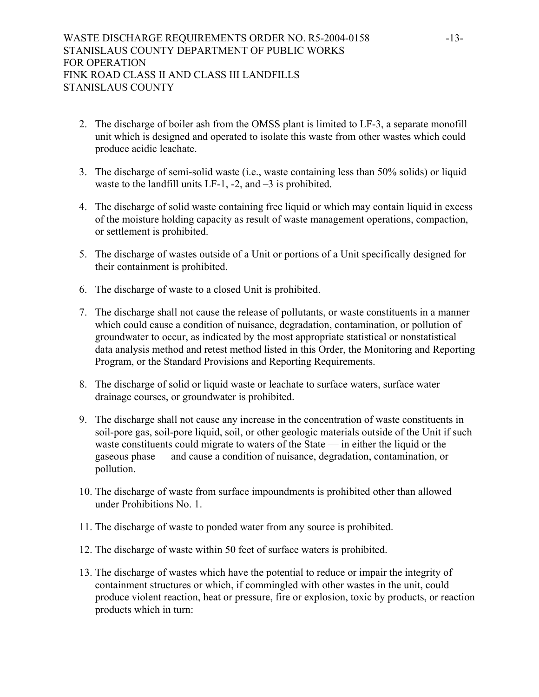- 2. The discharge of boiler ash from the OMSS plant is limited to LF-3, a separate monofill unit which is designed and operated to isolate this waste from other wastes which could produce acidic leachate.
- 3. The discharge of semi-solid waste (i.e., waste containing less than 50% solids) or liquid waste to the landfill units LF-1, -2, and -3 is prohibited.
- 4. The discharge of solid waste containing free liquid or which may contain liquid in excess of the moisture holding capacity as result of waste management operations, compaction, or settlement is prohibited.
- 5. The discharge of wastes outside of a Unit or portions of a Unit specifically designed for their containment is prohibited.
- 6. The discharge of waste to a closed Unit is prohibited.
- 7. The discharge shall not cause the release of pollutants, or waste constituents in a manner which could cause a condition of nuisance, degradation, contamination, or pollution of groundwater to occur, as indicated by the most appropriate statistical or nonstatistical data analysis method and retest method listed in this Order, the Monitoring and Reporting Program, or the Standard Provisions and Reporting Requirements.
- 8. The discharge of solid or liquid waste or leachate to surface waters, surface water drainage courses, or groundwater is prohibited.
- 9. The discharge shall not cause any increase in the concentration of waste constituents in soil-pore gas, soil-pore liquid, soil, or other geologic materials outside of the Unit if such waste constituents could migrate to waters of the State — in either the liquid or the gaseous phase — and cause a condition of nuisance, degradation, contamination, or pollution.
- 10. The discharge of waste from surface impoundments is prohibited other than allowed under Prohibitions No. 1.
- 11. The discharge of waste to ponded water from any source is prohibited.
- 12. The discharge of waste within 50 feet of surface waters is prohibited.
- 13. The discharge of wastes which have the potential to reduce or impair the integrity of containment structures or which, if commingled with other wastes in the unit, could produce violent reaction, heat or pressure, fire or explosion, toxic by products, or reaction products which in turn: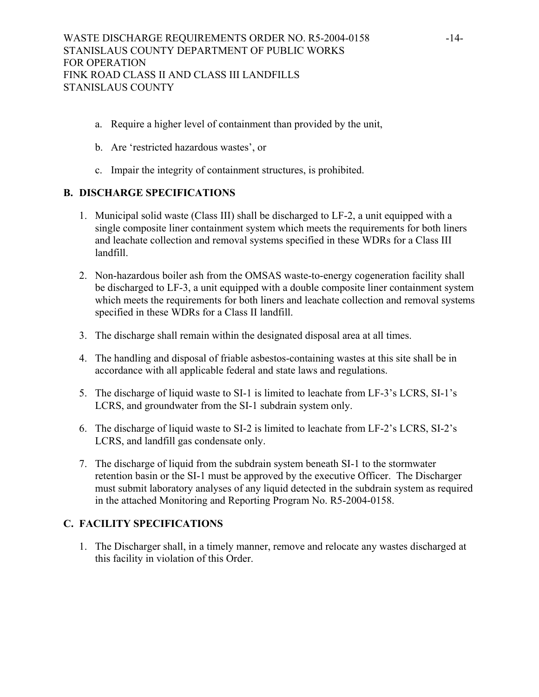- a. Require a higher level of containment than provided by the unit,
- b. Are 'restricted hazardous wastes', or
- c. Impair the integrity of containment structures, is prohibited.

# **B. DISCHARGE SPECIFICATIONS**

- 1. Municipal solid waste (Class III) shall be discharged to LF-2, a unit equipped with a single composite liner containment system which meets the requirements for both liners and leachate collection and removal systems specified in these WDRs for a Class III landfill.
- 2. Non-hazardous boiler ash from the OMSAS waste-to-energy cogeneration facility shall be discharged to LF-3, a unit equipped with a double composite liner containment system which meets the requirements for both liners and leachate collection and removal systems specified in these WDRs for a Class II landfill.
- 3. The discharge shall remain within the designated disposal area at all times.
- 4. The handling and disposal of friable asbestos-containing wastes at this site shall be in accordance with all applicable federal and state laws and regulations.
- 5. The discharge of liquid waste to SI-1 is limited to leachate from LF-3's LCRS, SI-1's LCRS, and groundwater from the SI-1 subdrain system only.
- 6. The discharge of liquid waste to SI-2 is limited to leachate from LF-2's LCRS, SI-2's LCRS, and landfill gas condensate only.
- 7. The discharge of liquid from the subdrain system beneath SI-1 to the stormwater retention basin or the SI-1 must be approved by the executive Officer. The Discharger must submit laboratory analyses of any liquid detected in the subdrain system as required in the attached Monitoring and Reporting Program No. R5-2004-0158.

# **C. FACILITY SPECIFICATIONS**

1. The Discharger shall, in a timely manner, remove and relocate any wastes discharged at this facility in violation of this Order.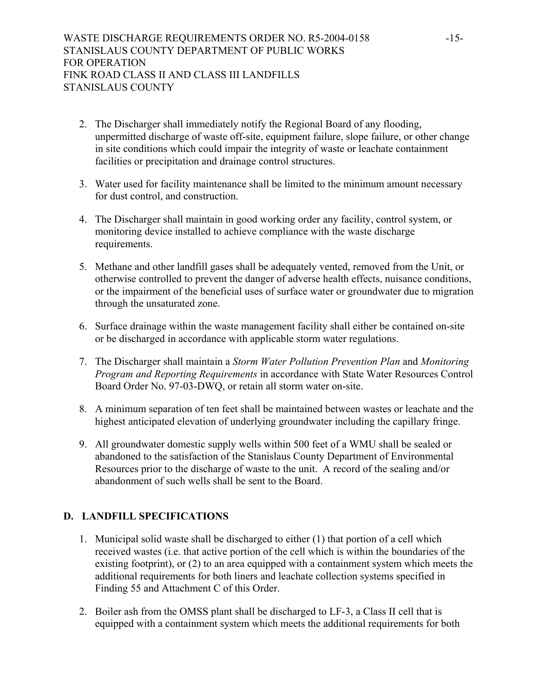- 2. The Discharger shall immediately notify the Regional Board of any flooding, unpermitted discharge of waste off-site, equipment failure, slope failure, or other change in site conditions which could impair the integrity of waste or leachate containment facilities or precipitation and drainage control structures.
- 3. Water used for facility maintenance shall be limited to the minimum amount necessary for dust control, and construction.
- 4. The Discharger shall maintain in good working order any facility, control system, or monitoring device installed to achieve compliance with the waste discharge requirements.
- 5. Methane and other landfill gases shall be adequately vented, removed from the Unit, or otherwise controlled to prevent the danger of adverse health effects, nuisance conditions, or the impairment of the beneficial uses of surface water or groundwater due to migration through the unsaturated zone.
- 6. Surface drainage within the waste management facility shall either be contained on-site or be discharged in accordance with applicable storm water regulations.
- 7. The Discharger shall maintain a *Storm Water Pollution Prevention Plan* and *Monitoring Program and Reporting Requirements* in accordance with State Water Resources Control Board Order No. 97-03-DWQ, or retain all storm water on-site.
- 8. A minimum separation of ten feet shall be maintained between wastes or leachate and the highest anticipated elevation of underlying groundwater including the capillary fringe.
- 9. All groundwater domestic supply wells within 500 feet of a WMU shall be sealed or abandoned to the satisfaction of the Stanislaus County Department of Environmental Resources prior to the discharge of waste to the unit. A record of the sealing and/or abandonment of such wells shall be sent to the Board.

# **D. LANDFILL SPECIFICATIONS**

- 1. Municipal solid waste shall be discharged to either (1) that portion of a cell which received wastes (i.e. that active portion of the cell which is within the boundaries of the existing footprint), or (2) to an area equipped with a containment system which meets the additional requirements for both liners and leachate collection systems specified in Finding 55 and Attachment C of this Order.
- 2. Boiler ash from the OMSS plant shall be discharged to LF-3, a Class II cell that is equipped with a containment system which meets the additional requirements for both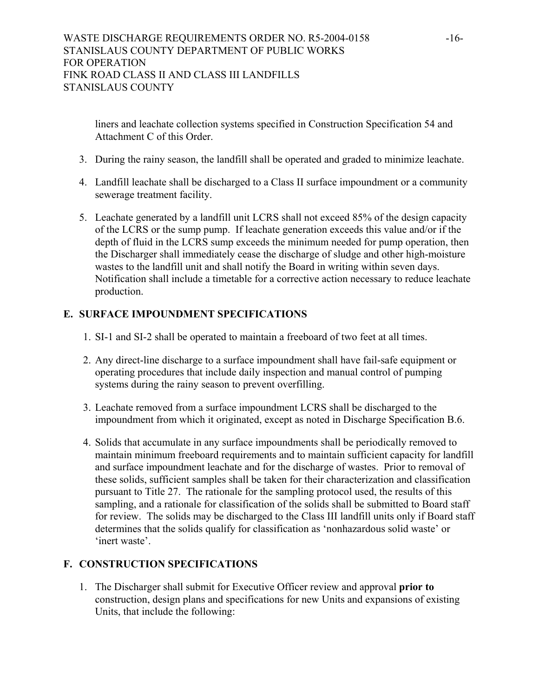liners and leachate collection systems specified in Construction Specification 54 and Attachment C of this Order.

- 3. During the rainy season, the landfill shall be operated and graded to minimize leachate.
- 4. Landfill leachate shall be discharged to a Class II surface impoundment or a community sewerage treatment facility.
- 5. Leachate generated by a landfill unit LCRS shall not exceed 85% of the design capacity of the LCRS or the sump pump. If leachate generation exceeds this value and/or if the depth of fluid in the LCRS sump exceeds the minimum needed for pump operation, then the Discharger shall immediately cease the discharge of sludge and other high-moisture wastes to the landfill unit and shall notify the Board in writing within seven days. Notification shall include a timetable for a corrective action necessary to reduce leachate production.

# **E. SURFACE IMPOUNDMENT SPECIFICATIONS**

- 1. SI-1 and SI-2 shall be operated to maintain a freeboard of two feet at all times.
- 2. Any direct-line discharge to a surface impoundment shall have fail-safe equipment or operating procedures that include daily inspection and manual control of pumping systems during the rainy season to prevent overfilling.
- 3. Leachate removed from a surface impoundment LCRS shall be discharged to the impoundment from which it originated, except as noted in Discharge Specification B.6.
- 4. Solids that accumulate in any surface impoundments shall be periodically removed to maintain minimum freeboard requirements and to maintain sufficient capacity for landfill and surface impoundment leachate and for the discharge of wastes. Prior to removal of these solids, sufficient samples shall be taken for their characterization and classification pursuant to Title 27. The rationale for the sampling protocol used, the results of this sampling, and a rationale for classification of the solids shall be submitted to Board staff for review. The solids may be discharged to the Class III landfill units only if Board staff determines that the solids qualify for classification as 'nonhazardous solid waste' or 'inert waste'.

# **F. CONSTRUCTION SPECIFICATIONS**

1. The Discharger shall submit for Executive Officer review and approval **prior to** construction, design plans and specifications for new Units and expansions of existing Units, that include the following: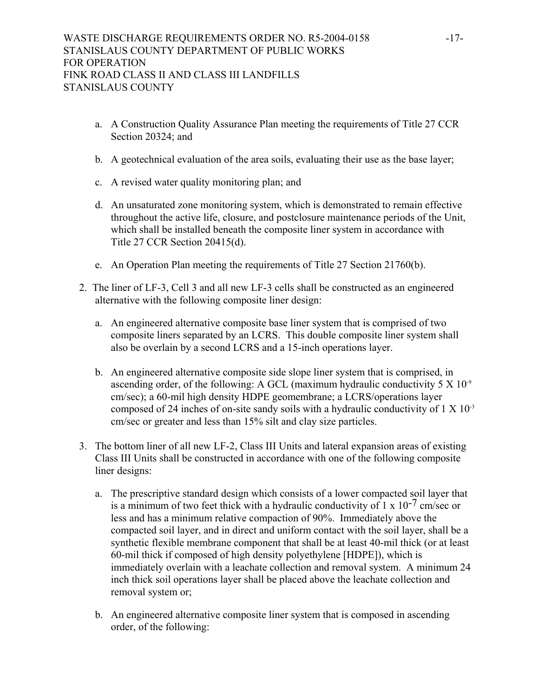- a. A Construction Quality Assurance Plan meeting the requirements of Title 27 CCR Section 20324; and
- b. A geotechnical evaluation of the area soils, evaluating their use as the base layer;
- c. A revised water quality monitoring plan; and
- d. An unsaturated zone monitoring system, which is demonstrated to remain effective throughout the active life, closure, and postclosure maintenance periods of the Unit, which shall be installed beneath the composite liner system in accordance with Title 27 CCR Section 20415(d).
- e. An Operation Plan meeting the requirements of Title 27 Section 21760(b).
- 2. The liner of LF-3, Cell 3 and all new LF-3 cells shall be constructed as an engineered alternative with the following composite liner design:
	- a. An engineered alternative composite base liner system that is comprised of two composite liners separated by an LCRS. This double composite liner system shall also be overlain by a second LCRS and a 15-inch operations layer.
	- b. An engineered alternative composite side slope liner system that is comprised, in ascending order, of the following: A GCL (maximum hydraulic conductivity  $5 \times 10^{-9}$ ) cm/sec); a 60-mil high density HDPE geomembrane; a LCRS/operations layer composed of 24 inches of on-site sandy soils with a hydraulic conductivity of  $1 \times 10^{-3}$ cm/sec or greater and less than 15% silt and clay size particles.
- 3. The bottom liner of all new LF-2, Class III Units and lateral expansion areas of existing Class III Units shall be constructed in accordance with one of the following composite liner designs:
	- a. The prescriptive standard design which consists of a lower compacted soil layer that is a minimum of two feet thick with a hydraulic conductivity of  $1 \times 10^{-7}$  cm/sec or less and has a minimum relative compaction of 90%. Immediately above the compacted soil layer, and in direct and uniform contact with the soil layer, shall be a synthetic flexible membrane component that shall be at least 40-mil thick (or at least 60-mil thick if composed of high density polyethylene [HDPE]), which is immediately overlain with a leachate collection and removal system. A minimum 24 inch thick soil operations layer shall be placed above the leachate collection and removal system or;
	- b. An engineered alternative composite liner system that is composed in ascending order, of the following: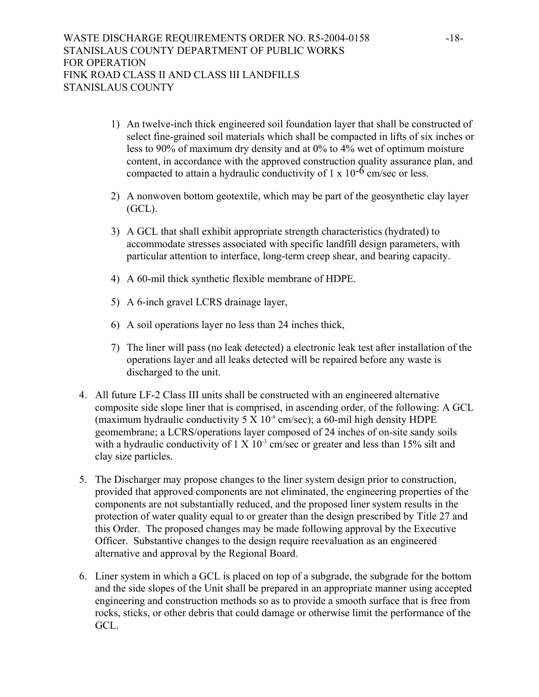- 1) An twelve-inch thick engineered soil foundation layer that shall be constructed of select fine-grained soil materials which shall be compacted in lifts of six inches or less to 90% of maximum dry density and at 0% to 4% wet of optimum moisture content, in accordance with the approved construction quality assurance plan, and compacted to attain a hydraulic conductivity of  $1 \times 10^{-6}$  cm/sec or less.
- 2) A nonwoven bottom geotextile, which may be part of the geosynthetic clay layer (GCL).
- 3) A GCL that shall exhibit appropriate strength characteristics (hydrated) to accommodate stresses associated with specific landfill design parameters, with particular attention to interface, long-term creep shear, and bearing capacity.
- 4) A 60-mil thick synthetic flexible membrane of HDPE.
- 5) A 6-inch gravel LCRS drainage layer,
- 6) A soil operations layer no less than 24 inches thick,
- 7) The liner will pass (no leak detected) a electronic leak test after installation of the operations layer and all leaks detected will be repaired before any waste is discharged to the unit.
- 4. All future LF-2 Class III units shall be constructed with an engineered alternative composite side slope liner that is comprised, in ascending order, of the following: A GCL (maximum hydraulic conductivity  $5 \times 10^{-9}$  cm/sec); a 60-mil high density HDPE geomembrane; a LCRS/operations layer composed of 24 inches of on-site sandy soils with a hydraulic conductivity of  $1 \times 10^{-3}$  cm/sec or greater and less than 15% silt and clay size particles.
- 5. The Discharger may propose changes to the liner system design prior to construction, provided that approved components are not eliminated, the engineering properties of the components are not substantially reduced, and the proposed liner system results in the protection of water quality equal to or greater than the design prescribed by Title 27 and this Order. The proposed changes may be made following approval by the Executive Officer. Substantive changes to the design require reevaluation as an engineered alternative and approval by the Regional Board.
- 6. Liner system in which a GCL is placed on top of a subgrade, the subgrade for the bottom and the side slopes of the Unit shall be prepared in an appropriate manner using accepted engineering and construction methods so as to provide a smooth surface that is free from rocks, sticks, or other debris that could damage or otherwise limit the performance of the GCL.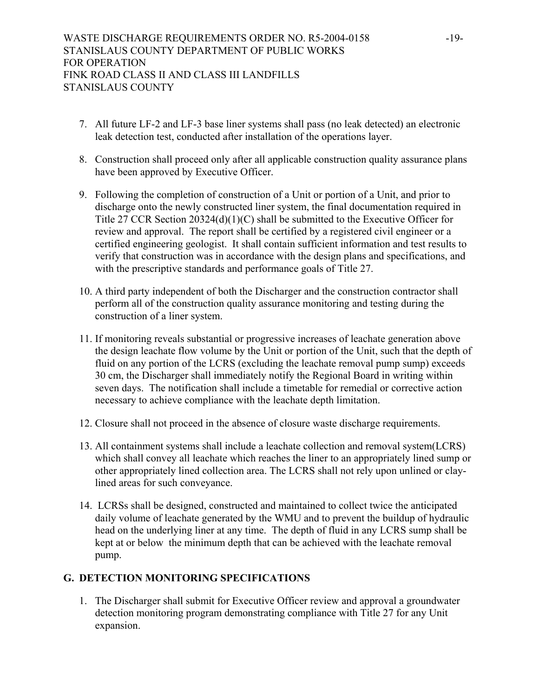- 7. All future LF-2 and LF-3 base liner systems shall pass (no leak detected) an electronic leak detection test, conducted after installation of the operations layer.
- 8. Construction shall proceed only after all applicable construction quality assurance plans have been approved by Executive Officer.
- 9. Following the completion of construction of a Unit or portion of a Unit, and prior to discharge onto the newly constructed liner system, the final documentation required in Title 27 CCR Section 20324(d)(1)(C) shall be submitted to the Executive Officer for review and approval. The report shall be certified by a registered civil engineer or a certified engineering geologist. It shall contain sufficient information and test results to verify that construction was in accordance with the design plans and specifications, and with the prescriptive standards and performance goals of Title 27.
- 10. A third party independent of both the Discharger and the construction contractor shall perform all of the construction quality assurance monitoring and testing during the construction of a liner system.
- 11. If monitoring reveals substantial or progressive increases of leachate generation above the design leachate flow volume by the Unit or portion of the Unit, such that the depth of fluid on any portion of the LCRS (excluding the leachate removal pump sump) exceeds 30 cm, the Discharger shall immediately notify the Regional Board in writing within seven days. The notification shall include a timetable for remedial or corrective action necessary to achieve compliance with the leachate depth limitation.
- 12. Closure shall not proceed in the absence of closure waste discharge requirements.
- 13. All containment systems shall include a leachate collection and removal system(LCRS) which shall convey all leachate which reaches the liner to an appropriately lined sump or other appropriately lined collection area. The LCRS shall not rely upon unlined or claylined areas for such conveyance.
- 14. LCRSs shall be designed, constructed and maintained to collect twice the anticipated daily volume of leachate generated by the WMU and to prevent the buildup of hydraulic head on the underlying liner at any time. The depth of fluid in any LCRS sump shall be kept at or below the minimum depth that can be achieved with the leachate removal pump.

# **G. DETECTION MONITORING SPECIFICATIONS**

1. The Discharger shall submit for Executive Officer review and approval a groundwater detection monitoring program demonstrating compliance with Title 27 for any Unit expansion.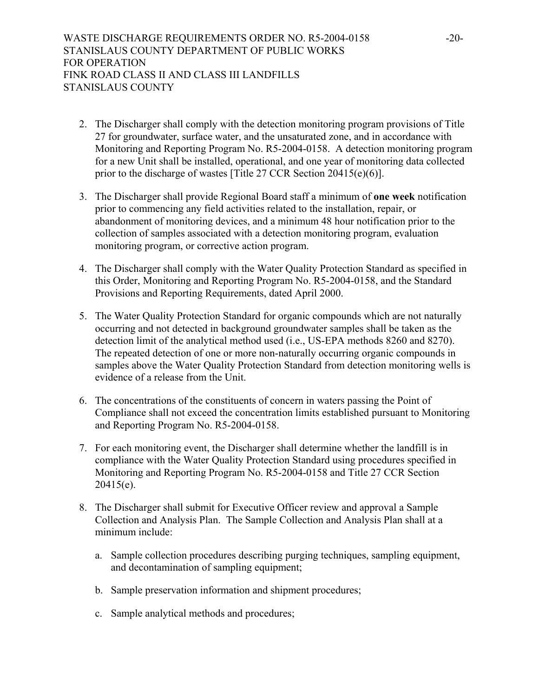- 2. The Discharger shall comply with the detection monitoring program provisions of Title 27 for groundwater, surface water, and the unsaturated zone, and in accordance with Monitoring and Reporting Program No. R5-2004-0158. A detection monitoring program for a new Unit shall be installed, operational, and one year of monitoring data collected prior to the discharge of wastes [Title 27 CCR Section 20415(e)(6)].
- 3. The Discharger shall provide Regional Board staff a minimum of **one week** notification prior to commencing any field activities related to the installation, repair, or abandonment of monitoring devices, and a minimum 48 hour notification prior to the collection of samples associated with a detection monitoring program, evaluation monitoring program, or corrective action program.
- 4. The Discharger shall comply with the Water Quality Protection Standard as specified in this Order, Monitoring and Reporting Program No. R5-2004-0158, and the Standard Provisions and Reporting Requirements, dated April 2000.
- 5. The Water Quality Protection Standard for organic compounds which are not naturally occurring and not detected in background groundwater samples shall be taken as the detection limit of the analytical method used (i.e., US-EPA methods 8260 and 8270). The repeated detection of one or more non-naturally occurring organic compounds in samples above the Water Quality Protection Standard from detection monitoring wells is evidence of a release from the Unit.
- 6. The concentrations of the constituents of concern in waters passing the Point of Compliance shall not exceed the concentration limits established pursuant to Monitoring and Reporting Program No. R5-2004-0158.
- 7. For each monitoring event, the Discharger shall determine whether the landfill is in compliance with the Water Quality Protection Standard using procedures specified in Monitoring and Reporting Program No. R5-2004-0158 and Title 27 CCR Section 20415(e).
- 8. The Discharger shall submit for Executive Officer review and approval a Sample Collection and Analysis Plan. The Sample Collection and Analysis Plan shall at a minimum include:
	- a. Sample collection procedures describing purging techniques, sampling equipment, and decontamination of sampling equipment;
	- b. Sample preservation information and shipment procedures;
	- c. Sample analytical methods and procedures;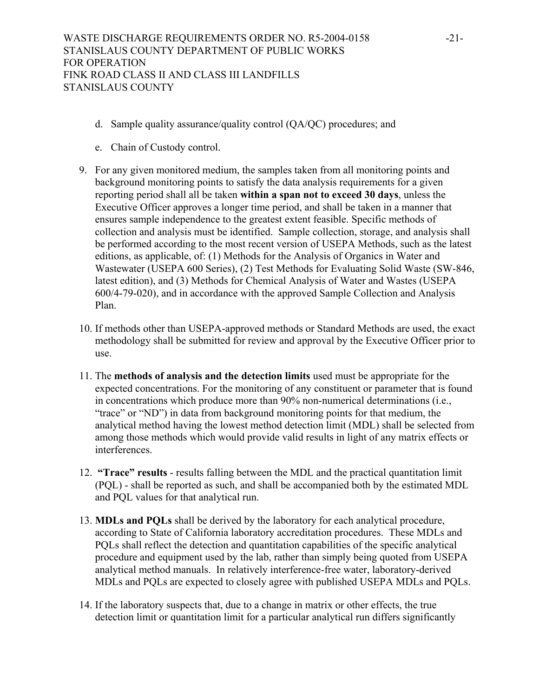- d. Sample quality assurance/quality control (QA/QC) procedures; and
- e. Chain of Custody control.
- 9. For any given monitored medium, the samples taken from all monitoring points and background monitoring points to satisfy the data analysis requirements for a given reporting period shall all be taken **within a span not to exceed 30 days**, unless the Executive Officer approves a longer time period, and shall be taken in a manner that ensures sample independence to the greatest extent feasible. Specific methods of collection and analysis must be identified. Sample collection, storage, and analysis shall be performed according to the most recent version of USEPA Methods, such as the latest editions, as applicable, of: (1) Methods for the Analysis of Organics in Water and Wastewater (USEPA 600 Series), (2) Test Methods for Evaluating Solid Waste (SW-846, latest edition), and (3) Methods for Chemical Analysis of Water and Wastes (USEPA 600/4-79-020), and in accordance with the approved Sample Collection and Analysis Plan.
- 10. If methods other than USEPA-approved methods or Standard Methods are used, the exact methodology shall be submitted for review and approval by the Executive Officer prior to use.
- 11. The **methods of analysis and the detection limits** used must be appropriate for the expected concentrations. For the monitoring of any constituent or parameter that is found in concentrations which produce more than 90% non-numerical determinations (i.e., "trace" or "ND") in data from background monitoring points for that medium, the analytical method having the lowest method detection limit (MDL) shall be selected from among those methods which would provide valid results in light of any matrix effects or interferences.
- 12. **"Trace" results** results falling between the MDL and the practical quantitation limit (PQL) - shall be reported as such, and shall be accompanied both by the estimated MDL and PQL values for that analytical run.
- 13. **MDLs and PQLs** shall be derived by the laboratory for each analytical procedure, according to State of California laboratory accreditation procedures. These MDLs and PQLs shall reflect the detection and quantitation capabilities of the specific analytical procedure and equipment used by the lab, rather than simply being quoted from USEPA analytical method manuals. In relatively interference-free water, laboratory-derived MDLs and PQLs are expected to closely agree with published USEPA MDLs and PQLs.
- 14. If the laboratory suspects that, due to a change in matrix or other effects, the true detection limit or quantitation limit for a particular analytical run differs significantly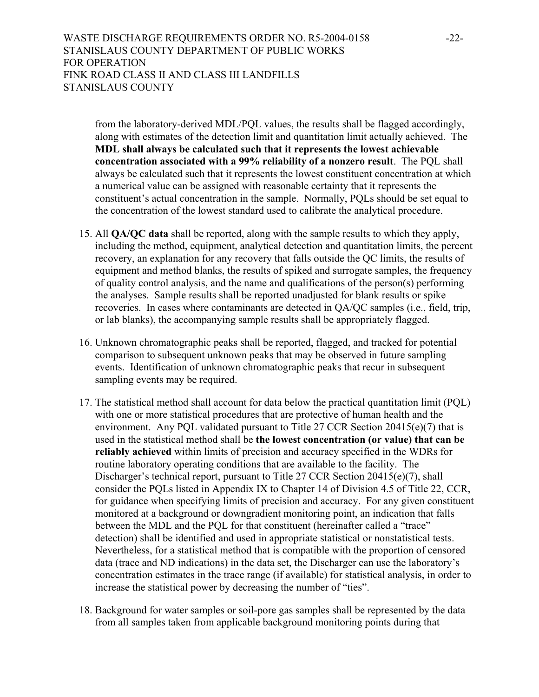from the laboratory-derived MDL/PQL values, the results shall be flagged accordingly, along with estimates of the detection limit and quantitation limit actually achieved. The **MDL shall always be calculated such that it represents the lowest achievable concentration associated with a 99% reliability of a nonzero result**. The PQL shall always be calculated such that it represents the lowest constituent concentration at which a numerical value can be assigned with reasonable certainty that it represents the constituent's actual concentration in the sample. Normally, PQLs should be set equal to the concentration of the lowest standard used to calibrate the analytical procedure.

- 15. All **QA/QC data** shall be reported, along with the sample results to which they apply, including the method, equipment, analytical detection and quantitation limits, the percent recovery, an explanation for any recovery that falls outside the QC limits, the results of equipment and method blanks, the results of spiked and surrogate samples, the frequency of quality control analysis, and the name and qualifications of the person(s) performing the analyses. Sample results shall be reported unadjusted for blank results or spike recoveries. In cases where contaminants are detected in QA/QC samples (i.e., field, trip, or lab blanks), the accompanying sample results shall be appropriately flagged.
- 16. Unknown chromatographic peaks shall be reported, flagged, and tracked for potential comparison to subsequent unknown peaks that may be observed in future sampling events. Identification of unknown chromatographic peaks that recur in subsequent sampling events may be required.
- 17. The statistical method shall account for data below the practical quantitation limit (PQL) with one or more statistical procedures that are protective of human health and the environment. Any PQL validated pursuant to Title 27 CCR Section 20415(e)(7) that is used in the statistical method shall be **the lowest concentration (or value) that can be reliably achieved** within limits of precision and accuracy specified in the WDRs for routine laboratory operating conditions that are available to the facility. The Discharger's technical report, pursuant to Title 27 CCR Section 20415(e)(7), shall consider the PQLs listed in Appendix IX to Chapter 14 of Division 4.5 of Title 22, CCR, for guidance when specifying limits of precision and accuracy. For any given constituent monitored at a background or downgradient monitoring point, an indication that falls between the MDL and the PQL for that constituent (hereinafter called a "trace" detection) shall be identified and used in appropriate statistical or nonstatistical tests. Nevertheless, for a statistical method that is compatible with the proportion of censored data (trace and ND indications) in the data set, the Discharger can use the laboratory's concentration estimates in the trace range (if available) for statistical analysis, in order to increase the statistical power by decreasing the number of "ties".
- 18. Background for water samples or soil-pore gas samples shall be represented by the data from all samples taken from applicable background monitoring points during that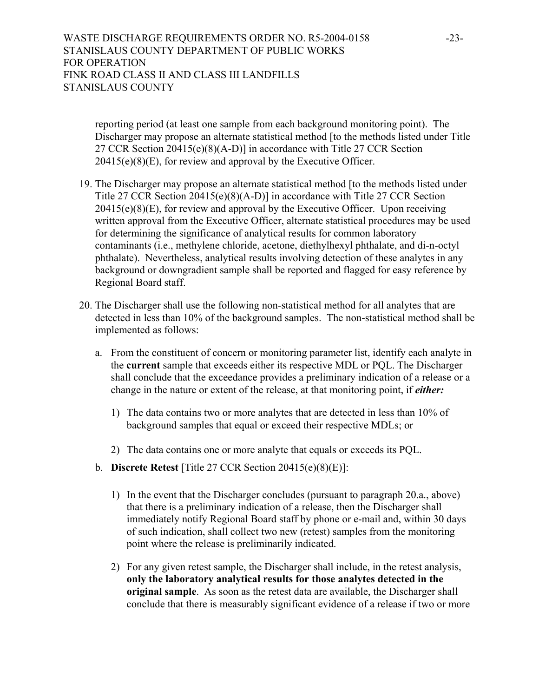reporting period (at least one sample from each background monitoring point). The Discharger may propose an alternate statistical method [to the methods listed under Title 27 CCR Section 20415(e)(8)(A-D)] in accordance with Title 27 CCR Section 20415(e)(8)(E), for review and approval by the Executive Officer.

- 19. The Discharger may propose an alternate statistical method [to the methods listed under Title 27 CCR Section 20415(e)(8)(A-D)] in accordance with Title 27 CCR Section  $20415(e)(8)(E)$ , for review and approval by the Executive Officer. Upon receiving written approval from the Executive Officer, alternate statistical procedures may be used for determining the significance of analytical results for common laboratory contaminants (i.e., methylene chloride, acetone, diethylhexyl phthalate, and di-n-octyl phthalate). Nevertheless, analytical results involving detection of these analytes in any background or downgradient sample shall be reported and flagged for easy reference by Regional Board staff.
- 20. The Discharger shall use the following non-statistical method for all analytes that are detected in less than 10% of the background samples. The non-statistical method shall be implemented as follows:
	- a. From the constituent of concern or monitoring parameter list, identify each analyte in the **current** sample that exceeds either its respective MDL or PQL. The Discharger shall conclude that the exceedance provides a preliminary indication of a release or a change in the nature or extent of the release, at that monitoring point, if *either:* 
		- 1) The data contains two or more analytes that are detected in less than 10% of background samples that equal or exceed their respective MDLs; or
		- 2) The data contains one or more analyte that equals or exceeds its PQL.
	- b. **Discrete Retest** [Title 27 CCR Section 20415(e)(8)(E)]:
		- 1) In the event that the Discharger concludes (pursuant to paragraph 20.a., above) that there is a preliminary indication of a release, then the Discharger shall immediately notify Regional Board staff by phone or e-mail and, within 30 days of such indication, shall collect two new (retest) samples from the monitoring point where the release is preliminarily indicated.
		- 2) For any given retest sample, the Discharger shall include, in the retest analysis, **only the laboratory analytical results for those analytes detected in the original sample**. As soon as the retest data are available, the Discharger shall conclude that there is measurably significant evidence of a release if two or more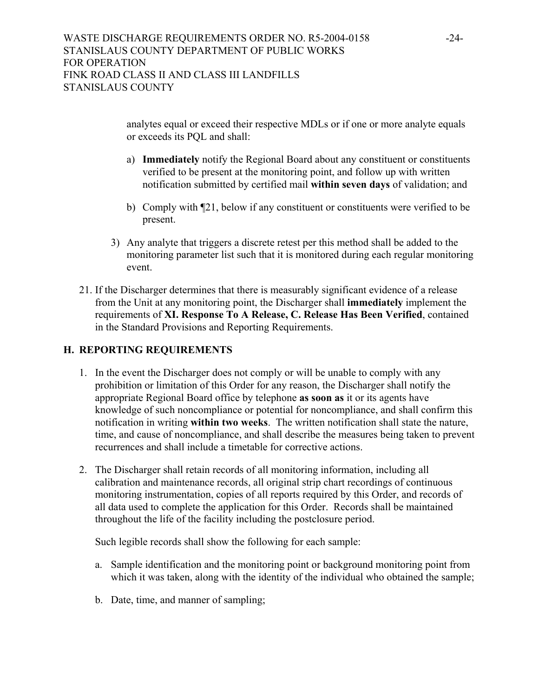analytes equal or exceed their respective MDLs or if one or more analyte equals or exceeds its PQL and shall:

- a) **Immediately** notify the Regional Board about any constituent or constituents verified to be present at the monitoring point, and follow up with written notification submitted by certified mail **within seven days** of validation; and
- b) Comply with  $\llbracket 21$ , below if any constituent or constituents were verified to be present.
- 3) Any analyte that triggers a discrete retest per this method shall be added to the monitoring parameter list such that it is monitored during each regular monitoring event.
- 21. If the Discharger determines that there is measurably significant evidence of a release from the Unit at any monitoring point, the Discharger shall **immediately** implement the requirements of **XI. Response To A Release, C. Release Has Been Verified**, contained in the Standard Provisions and Reporting Requirements.

# **H. REPORTING REQUIREMENTS**

- 1. In the event the Discharger does not comply or will be unable to comply with any prohibition or limitation of this Order for any reason, the Discharger shall notify the appropriate Regional Board office by telephone **as soon as** it or its agents have knowledge of such noncompliance or potential for noncompliance, and shall confirm this notification in writing **within two weeks**. The written notification shall state the nature, time, and cause of noncompliance, and shall describe the measures being taken to prevent recurrences and shall include a timetable for corrective actions.
- 2. The Discharger shall retain records of all monitoring information, including all calibration and maintenance records, all original strip chart recordings of continuous monitoring instrumentation, copies of all reports required by this Order, and records of all data used to complete the application for this Order. Records shall be maintained throughout the life of the facility including the postclosure period.

Such legible records shall show the following for each sample:

- a. Sample identification and the monitoring point or background monitoring point from which it was taken, along with the identity of the individual who obtained the sample;
- b. Date, time, and manner of sampling;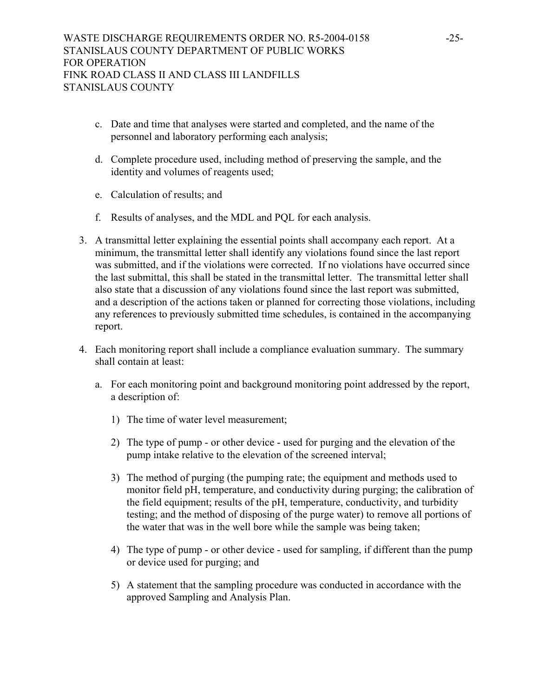- c. Date and time that analyses were started and completed, and the name of the personnel and laboratory performing each analysis;
- d. Complete procedure used, including method of preserving the sample, and the identity and volumes of reagents used;
- e. Calculation of results; and
- f. Results of analyses, and the MDL and PQL for each analysis.
- 3. A transmittal letter explaining the essential points shall accompany each report. At a minimum, the transmittal letter shall identify any violations found since the last report was submitted, and if the violations were corrected. If no violations have occurred since the last submittal, this shall be stated in the transmittal letter. The transmittal letter shall also state that a discussion of any violations found since the last report was submitted, and a description of the actions taken or planned for correcting those violations, including any references to previously submitted time schedules, is contained in the accompanying report.
- 4. Each monitoring report shall include a compliance evaluation summary. The summary shall contain at least:
	- a. For each monitoring point and background monitoring point addressed by the report, a description of:
		- 1) The time of water level measurement;
		- 2) The type of pump or other device used for purging and the elevation of the pump intake relative to the elevation of the screened interval;
		- 3) The method of purging (the pumping rate; the equipment and methods used to monitor field pH, temperature, and conductivity during purging; the calibration of the field equipment; results of the pH, temperature, conductivity, and turbidity testing; and the method of disposing of the purge water) to remove all portions of the water that was in the well bore while the sample was being taken;
		- 4) The type of pump or other device used for sampling, if different than the pump or device used for purging; and
		- 5) A statement that the sampling procedure was conducted in accordance with the approved Sampling and Analysis Plan.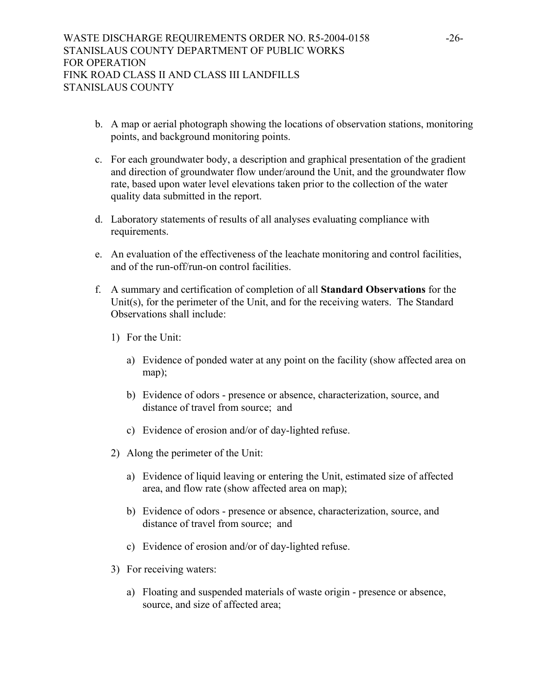- b. A map or aerial photograph showing the locations of observation stations, monitoring points, and background monitoring points.
- c. For each groundwater body, a description and graphical presentation of the gradient and direction of groundwater flow under/around the Unit, and the groundwater flow rate, based upon water level elevations taken prior to the collection of the water quality data submitted in the report.
- d. Laboratory statements of results of all analyses evaluating compliance with requirements.
- e. An evaluation of the effectiveness of the leachate monitoring and control facilities, and of the run-off/run-on control facilities.
- f. A summary and certification of completion of all **Standard Observations** for the Unit(s), for the perimeter of the Unit, and for the receiving waters. The Standard Observations shall include:
	- 1) For the Unit:
		- a) Evidence of ponded water at any point on the facility (show affected area on map);
		- b) Evidence of odors presence or absence, characterization, source, and distance of travel from source; and
		- c) Evidence of erosion and/or of day-lighted refuse.
	- 2) Along the perimeter of the Unit:
		- a) Evidence of liquid leaving or entering the Unit, estimated size of affected area, and flow rate (show affected area on map);
		- b) Evidence of odors presence or absence, characterization, source, and distance of travel from source; and
		- c) Evidence of erosion and/or of day-lighted refuse.
	- 3) For receiving waters:
		- a) Floating and suspended materials of waste origin presence or absence, source, and size of affected area;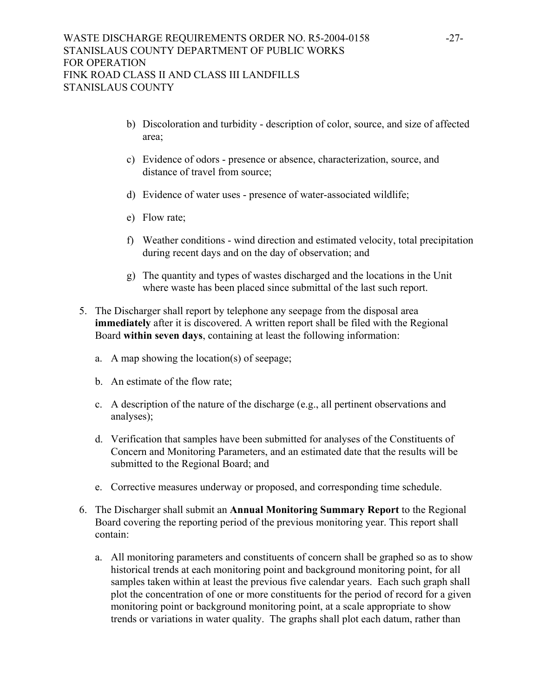- b) Discoloration and turbidity description of color, source, and size of affected area;
- c) Evidence of odors presence or absence, characterization, source, and distance of travel from source;
- d) Evidence of water uses presence of water-associated wildlife;
- e) Flow rate;
- f) Weather conditions wind direction and estimated velocity, total precipitation during recent days and on the day of observation; and
- g) The quantity and types of wastes discharged and the locations in the Unit where waste has been placed since submittal of the last such report.
- 5. The Discharger shall report by telephone any seepage from the disposal area **immediately** after it is discovered. A written report shall be filed with the Regional Board **within seven days**, containing at least the following information:
	- a. A map showing the location(s) of seepage;
	- b. An estimate of the flow rate;
	- c. A description of the nature of the discharge (e.g., all pertinent observations and analyses);
	- d. Verification that samples have been submitted for analyses of the Constituents of Concern and Monitoring Parameters, and an estimated date that the results will be submitted to the Regional Board; and
	- e. Corrective measures underway or proposed, and corresponding time schedule.
- 6. The Discharger shall submit an **Annual Monitoring Summary Report** to the Regional Board covering the reporting period of the previous monitoring year. This report shall contain:
	- a. All monitoring parameters and constituents of concern shall be graphed so as to show historical trends at each monitoring point and background monitoring point, for all samples taken within at least the previous five calendar years. Each such graph shall plot the concentration of one or more constituents for the period of record for a given monitoring point or background monitoring point, at a scale appropriate to show trends or variations in water quality. The graphs shall plot each datum, rather than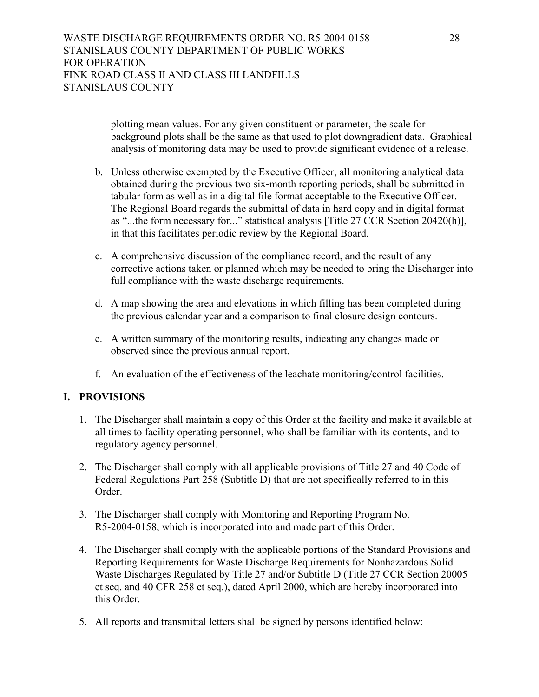plotting mean values. For any given constituent or parameter, the scale for background plots shall be the same as that used to plot downgradient data. Graphical analysis of monitoring data may be used to provide significant evidence of a release.

- b. Unless otherwise exempted by the Executive Officer, all monitoring analytical data obtained during the previous two six-month reporting periods, shall be submitted in tabular form as well as in a digital file format acceptable to the Executive Officer. The Regional Board regards the submittal of data in hard copy and in digital format as "...the form necessary for..." statistical analysis [Title 27 CCR Section 20420(h)], in that this facilitates periodic review by the Regional Board.
- c. A comprehensive discussion of the compliance record, and the result of any corrective actions taken or planned which may be needed to bring the Discharger into full compliance with the waste discharge requirements.
- d. A map showing the area and elevations in which filling has been completed during the previous calendar year and a comparison to final closure design contours.
- e. A written summary of the monitoring results, indicating any changes made or observed since the previous annual report.
- f. An evaluation of the effectiveness of the leachate monitoring/control facilities.

## **I. PROVISIONS**

- 1. The Discharger shall maintain a copy of this Order at the facility and make it available at all times to facility operating personnel, who shall be familiar with its contents, and to regulatory agency personnel.
- 2. The Discharger shall comply with all applicable provisions of Title 27 and 40 Code of Federal Regulations Part 258 (Subtitle D) that are not specifically referred to in this Order.
- 3. The Discharger shall comply with Monitoring and Reporting Program No. R5-2004-0158, which is incorporated into and made part of this Order.
- 4. The Discharger shall comply with the applicable portions of the Standard Provisions and Reporting Requirements for Waste Discharge Requirements for Nonhazardous Solid Waste Discharges Regulated by Title 27 and/or Subtitle D (Title 27 CCR Section 20005 et seq. and 40 CFR 258 et seq.), dated April 2000, which are hereby incorporated into this Order.
- 5. All reports and transmittal letters shall be signed by persons identified below: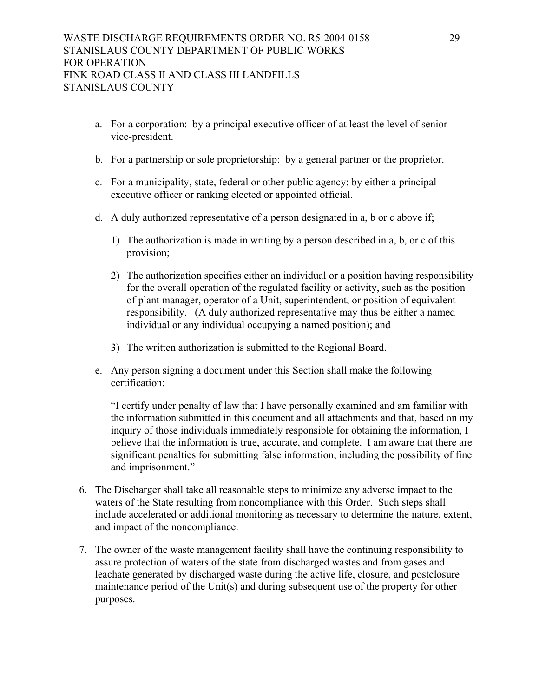- a. For a corporation: by a principal executive officer of at least the level of senior vice-president.
- b. For a partnership or sole proprietorship: by a general partner or the proprietor.
- c. For a municipality, state, federal or other public agency: by either a principal executive officer or ranking elected or appointed official.
- d. A duly authorized representative of a person designated in a, b or c above if;
	- 1) The authorization is made in writing by a person described in a, b, or c of this provision;
	- 2) The authorization specifies either an individual or a position having responsibility for the overall operation of the regulated facility or activity, such as the position of plant manager, operator of a Unit, superintendent, or position of equivalent responsibility. (A duly authorized representative may thus be either a named individual or any individual occupying a named position); and
	- 3) The written authorization is submitted to the Regional Board.
- e. Any person signing a document under this Section shall make the following certification:

"I certify under penalty of law that I have personally examined and am familiar with the information submitted in this document and all attachments and that, based on my inquiry of those individuals immediately responsible for obtaining the information, I believe that the information is true, accurate, and complete. I am aware that there are significant penalties for submitting false information, including the possibility of fine and imprisonment."

- 6. The Discharger shall take all reasonable steps to minimize any adverse impact to the waters of the State resulting from noncompliance with this Order. Such steps shall include accelerated or additional monitoring as necessary to determine the nature, extent, and impact of the noncompliance.
- 7. The owner of the waste management facility shall have the continuing responsibility to assure protection of waters of the state from discharged wastes and from gases and leachate generated by discharged waste during the active life, closure, and postclosure maintenance period of the Unit(s) and during subsequent use of the property for other purposes.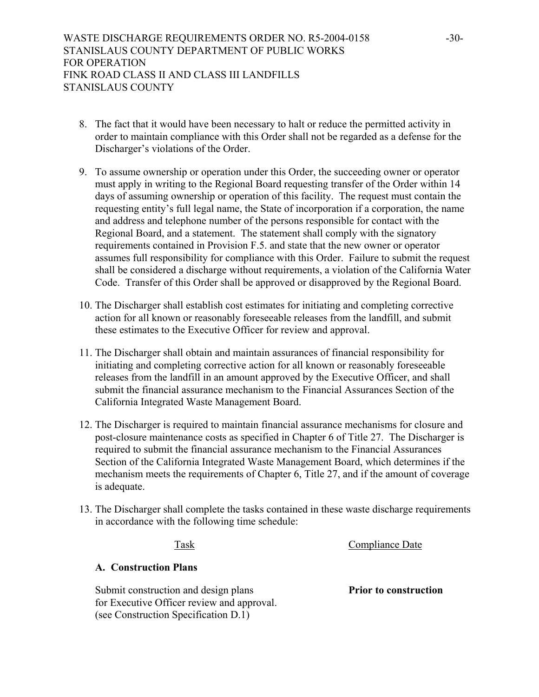- 8. The fact that it would have been necessary to halt or reduce the permitted activity in order to maintain compliance with this Order shall not be regarded as a defense for the Discharger's violations of the Order.
- 9. To assume ownership or operation under this Order, the succeeding owner or operator must apply in writing to the Regional Board requesting transfer of the Order within 14 days of assuming ownership or operation of this facility. The request must contain the requesting entity's full legal name, the State of incorporation if a corporation, the name and address and telephone number of the persons responsible for contact with the Regional Board, and a statement. The statement shall comply with the signatory requirements contained in Provision F.5. and state that the new owner or operator assumes full responsibility for compliance with this Order. Failure to submit the request shall be considered a discharge without requirements, a violation of the California Water Code. Transfer of this Order shall be approved or disapproved by the Regional Board.
- 10. The Discharger shall establish cost estimates for initiating and completing corrective action for all known or reasonably foreseeable releases from the landfill, and submit these estimates to the Executive Officer for review and approval.
- 11. The Discharger shall obtain and maintain assurances of financial responsibility for initiating and completing corrective action for all known or reasonably foreseeable releases from the landfill in an amount approved by the Executive Officer, and shall submit the financial assurance mechanism to the Financial Assurances Section of the California Integrated Waste Management Board.
- 12. The Discharger is required to maintain financial assurance mechanisms for closure and post-closure maintenance costs as specified in Chapter 6 of Title 27. The Discharger is required to submit the financial assurance mechanism to the Financial Assurances Section of the California Integrated Waste Management Board, which determines if the mechanism meets the requirements of Chapter 6, Title 27, and if the amount of coverage is adequate.
- 13. The Discharger shall complete the tasks contained in these waste discharge requirements in accordance with the following time schedule:

## Task Compliance Date

## **A. Construction Plans**

Submit construction and design plans **Prior to construction** for Executive Officer review and approval. (see Construction Specification D.1)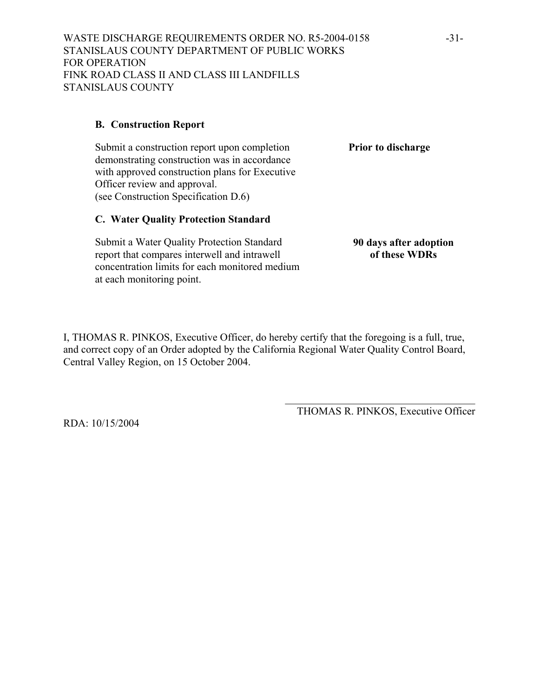## **B. Construction Report**

Submit a construction report upon completion **Prior to discharge** demonstrating construction was in accordance with approved construction plans for Executive Officer review and approval. (see Construction Specification D.6)

## **C. Water Quality Protection Standard**

Submit a Water Quality Protection Standard report that compares interwell and intrawell concentration limits for each monitored medium at each monitoring point.

I, THOMAS R. PINKOS, Executive Officer, do hereby certify that the foregoing is a full, true, and correct copy of an Order adopted by the California Regional Water Quality Control Board, Central Valley Region, on 15 October 2004.

> $\mathcal{L}_\text{max}$  , and the set of the set of the set of the set of the set of the set of the set of the set of the set of the set of the set of the set of the set of the set of the set of the set of the set of the set of the THOMAS R. PINKOS, Executive Officer

RDA: 10/15/2004

**90 days after adoption of these WDRs**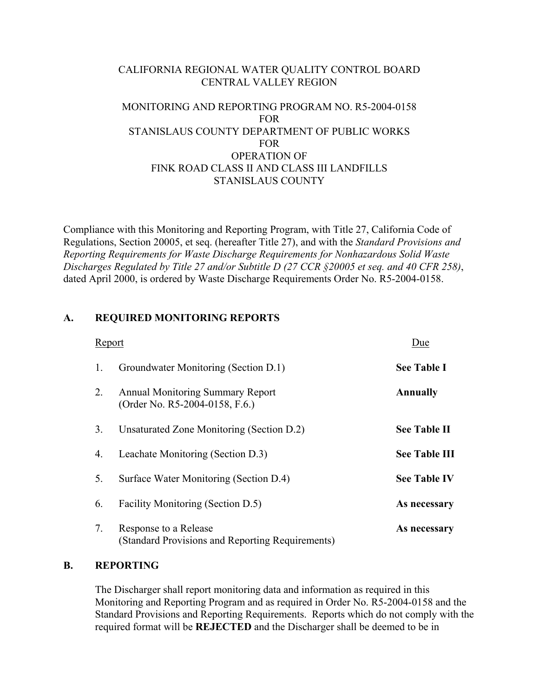## CALIFORNIA REGIONAL WATER QUALITY CONTROL BOARD CENTRAL VALLEY REGION

## MONITORING AND REPORTING PROGRAM NO. R5-2004-0158 FOR STANISLAUS COUNTY DEPARTMENT OF PUBLIC WORKS FOR OPERATION OF FINK ROAD CLASS II AND CLASS III LANDFILLS STANISLAUS COUNTY

Compliance with this Monitoring and Reporting Program, with Title 27, California Code of Regulations, Section 20005, et seq. (hereafter Title 27), and with the *Standard Provisions and Reporting Requirements for Waste Discharge Requirements for Nonhazardous Solid Waste Discharges Regulated by Title 27 and/or Subtitle D (27 CCR §20005 et seq. and 40 CFR 258)*, dated April 2000, is ordered by Waste Discharge Requirements Order No. R5-2004-0158.

# **A. REQUIRED MONITORING REPORTS**

| Report |                                                                           | Due                  |
|--------|---------------------------------------------------------------------------|----------------------|
| 1.     | Groundwater Monitoring (Section D.1)                                      | <b>See Table I</b>   |
| 2.     | <b>Annual Monitoring Summary Report</b><br>(Order No. R5-2004-0158, F.6.) | <b>Annually</b>      |
| 3.     | Unsaturated Zone Monitoring (Section D.2)                                 | <b>See Table II</b>  |
| 4.     | Leachate Monitoring (Section D.3)                                         | <b>See Table III</b> |
| 5.     | Surface Water Monitoring (Section D.4)                                    | <b>See Table IV</b>  |
| 6.     | Facility Monitoring (Section D.5)                                         | As necessary         |
| 7.     | Response to a Release<br>(Standard Provisions and Reporting Requirements) | As necessary         |

## **B. REPORTING**

 The Discharger shall report monitoring data and information as required in this Monitoring and Reporting Program and as required in Order No. R5-2004-0158 and the Standard Provisions and Reporting Requirements. Reports which do not comply with the required format will be **REJECTED** and the Discharger shall be deemed to be in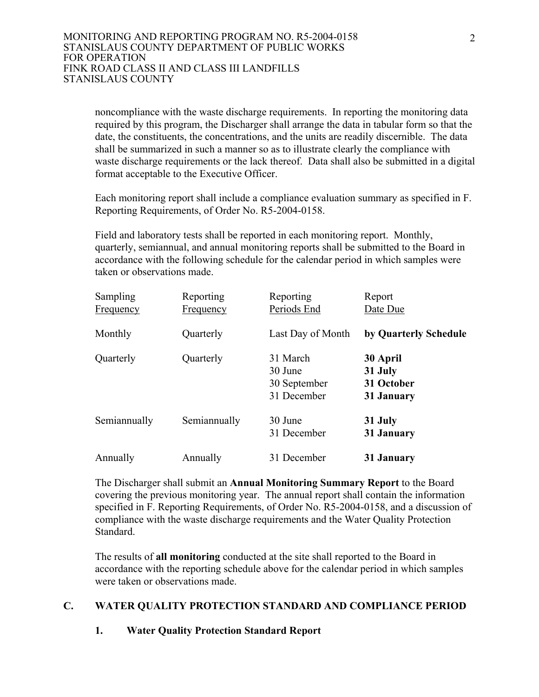noncompliance with the waste discharge requirements. In reporting the monitoring data required by this program, the Discharger shall arrange the data in tabular form so that the date, the constituents, the concentrations, and the units are readily discernible. The data shall be summarized in such a manner so as to illustrate clearly the compliance with waste discharge requirements or the lack thereof. Data shall also be submitted in a digital format acceptable to the Executive Officer.

 Each monitoring report shall include a compliance evaluation summary as specified in F. Reporting Requirements, of Order No. R5-2004-0158.

 Field and laboratory tests shall be reported in each monitoring report. Monthly, quarterly, semiannual, and annual monitoring reports shall be submitted to the Board in accordance with the following schedule for the calendar period in which samples were taken or observations made.

| <b>Sampling</b>  | Reporting        | Reporting                                          | Report                                          |
|------------------|------------------|----------------------------------------------------|-------------------------------------------------|
| <b>Frequency</b> | <b>Frequency</b> | Periods End                                        | Date Due                                        |
| Monthly          | Quarterly        | Last Day of Month                                  | by Quarterly Schedule                           |
| Quarterly        | Quarterly        | 31 March<br>30 June<br>30 September<br>31 December | 30 April<br>31 July<br>31 October<br>31 January |
| Semiannually     | Semiannually     | 30 June<br>31 December                             | 31 July<br>31 January                           |
| Annually         | Annually         | 31 December                                        | 31 January                                      |

 The Discharger shall submit an **Annual Monitoring Summary Report** to the Board covering the previous monitoring year. The annual report shall contain the information specified in F. Reporting Requirements, of Order No. R5-2004-0158, and a discussion of compliance with the waste discharge requirements and the Water Quality Protection Standard.

 The results of **all monitoring** conducted at the site shall reported to the Board in accordance with the reporting schedule above for the calendar period in which samples were taken or observations made.

# **C. WATER QUALITY PROTECTION STANDARD AND COMPLIANCE PERIOD**

# **1. Water Quality Protection Standard Report**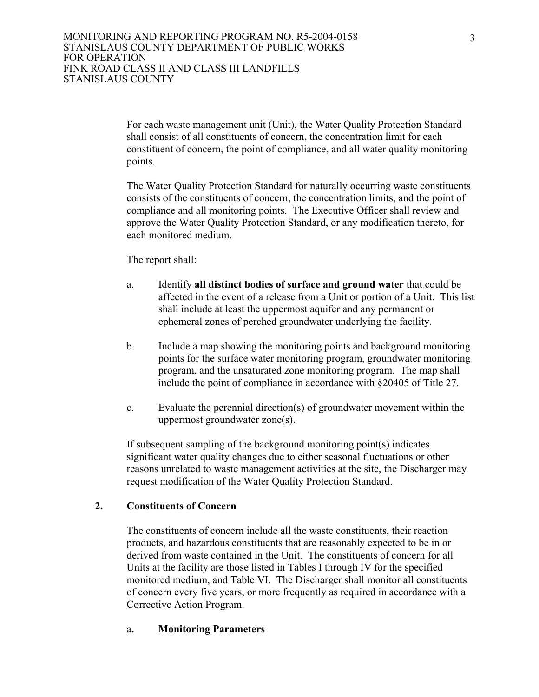For each waste management unit (Unit), the Water Quality Protection Standard shall consist of all constituents of concern, the concentration limit for each constituent of concern, the point of compliance, and all water quality monitoring points.

 The Water Quality Protection Standard for naturally occurring waste constituents consists of the constituents of concern, the concentration limits, and the point of compliance and all monitoring points. The Executive Officer shall review and approve the Water Quality Protection Standard, or any modification thereto, for each monitored medium.

The report shall:

- a. Identify **all distinct bodies of surface and ground water** that could be affected in the event of a release from a Unit or portion of a Unit. This list shall include at least the uppermost aquifer and any permanent or ephemeral zones of perched groundwater underlying the facility.
- b. Include a map showing the monitoring points and background monitoring points for the surface water monitoring program, groundwater monitoring program, and the unsaturated zone monitoring program. The map shall include the point of compliance in accordance with §20405 of Title 27.
- c. Evaluate the perennial direction(s) of groundwater movement within the uppermost groundwater zone(s).

 If subsequent sampling of the background monitoring point(s) indicates significant water quality changes due to either seasonal fluctuations or other reasons unrelated to waste management activities at the site, the Discharger may request modification of the Water Quality Protection Standard.

## **2. Constituents of Concern**

 The constituents of concern include all the waste constituents, their reaction products, and hazardous constituents that are reasonably expected to be in or derived from waste contained in the Unit. The constituents of concern for all Units at the facility are those listed in Tables I through IV for the specified monitored medium, and Table VI. The Discharger shall monitor all constituents of concern every five years, or more frequently as required in accordance with a Corrective Action Program.

#### a**. Monitoring Parameters**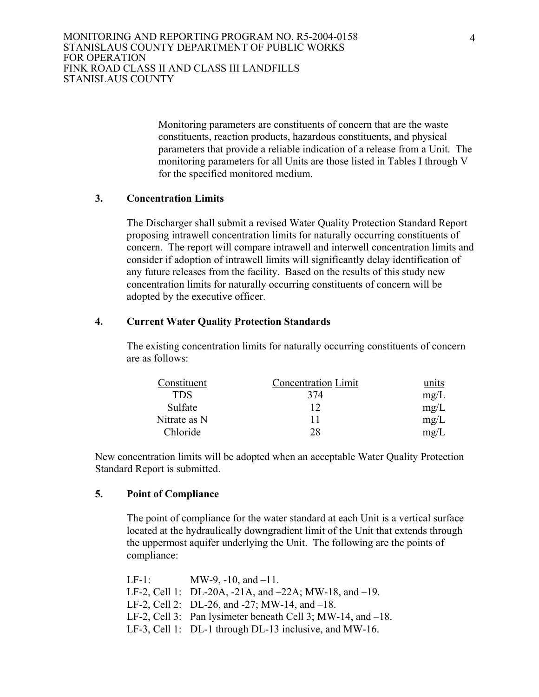Monitoring parameters are constituents of concern that are the waste constituents, reaction products, hazardous constituents, and physical parameters that provide a reliable indication of a release from a Unit. The monitoring parameters for all Units are those listed in Tables I through V for the specified monitored medium.

## **3. Concentration Limits**

 The Discharger shall submit a revised Water Quality Protection Standard Report proposing intrawell concentration limits for naturally occurring constituents of concern. The report will compare intrawell and interwell concentration limits and consider if adoption of intrawell limits will significantly delay identification of any future releases from the facility. Based on the results of this study new concentration limits for naturally occurring constituents of concern will be adopted by the executive officer.

#### **4. Current Water Quality Protection Standards**

The existing concentration limits for naturally occurring constituents of concern are as follows:

| Constituent  | <b>Concentration Limit</b> | units |
|--------------|----------------------------|-------|
| <b>TDS</b>   | 374                        | mg/L  |
| Sulfate      | 12                         | mg/L  |
| Nitrate as N |                            | mg/L  |
| Chloride     | 28                         | mg/L  |

New concentration limits will be adopted when an acceptable Water Quality Protection Standard Report is submitted.

## **5. Point of Compliance**

 The point of compliance for the water standard at each Unit is a vertical surface located at the hydraulically downgradient limit of the Unit that extends through the uppermost aquifer underlying the Unit. The following are the points of compliance:

| $LF-1$ | MW-9, $-10$ , and $-11$ .                                         |
|--------|-------------------------------------------------------------------|
|        | LF-2, Cell 1: $DL-20A$ , $-21A$ , and $-22A$ ; MW-18, and $-19$ . |
|        | LF-2, Cell 2: $DL-26$ , and $-27$ ; MW-14, and $-18$ .            |
|        | LF-2, Cell 3: Pan lysimeter beneath Cell 3; MW-14, and $-18$ .    |
|        | LF-3, Cell 1: $DL-1$ through $DL-13$ inclusive, and MW-16.        |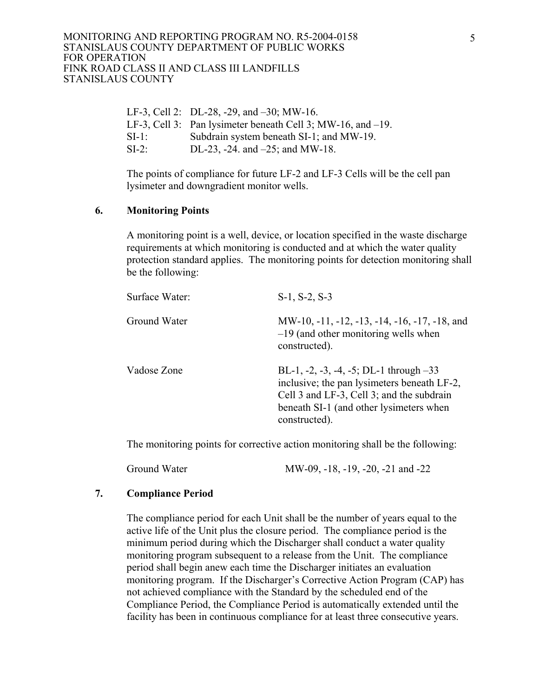#### MONITORING AND REPORTING PROGRAM NO. R5-2004-0158 STANISLAUS COUNTY DEPARTMENT OF PUBLIC WORKS FOR OPERATION FINK ROAD CLASS II AND CLASS III LANDFILLS STANISLAUS COUNTY

|        | LF-3, Cell 2: $DL-28$ , -29, and $-30$ ; MW-16.                |
|--------|----------------------------------------------------------------|
|        | LF-3, Cell 3: Pan lysimeter beneath Cell 3; MW-16, and $-19$ . |
| $SI-1$ | Subdrain system beneath SI-1; and MW-19.                       |
| $SI-2$ | DL-23, -24. and $-25$ ; and MW-18.                             |
|        |                                                                |

 The points of compliance for future LF-2 and LF-3 Cells will be the cell pan lysimeter and downgradient monitor wells.

## **6. Monitoring Points**

A monitoring point is a well, device, or location specified in the waste discharge requirements at which monitoring is conducted and at which the water quality protection standard applies. The monitoring points for detection monitoring shall be the following:

| Surface Water: | $S-1$ , $S-2$ , $S-3$                                                                                                                                                                            |
|----------------|--------------------------------------------------------------------------------------------------------------------------------------------------------------------------------------------------|
| Ground Water   | MW-10, -11, -12, -13, -14, -16, -17, -18, and<br>$-19$ (and other monitoring wells when<br>constructed).                                                                                         |
| Vadose Zone    | BL-1, -2, -3, -4, -5; DL-1 through $-33$<br>inclusive; the pan lysimeters beneath LF-2,<br>Cell 3 and LF-3, Cell 3; and the subdrain<br>beneath SI-1 (and other lysimeters when<br>constructed). |

The monitoring points for corrective action monitoring shall be the following:

Ground Water MW-09, -18, -19, -20, -21 and -22

## **7. Compliance Period**

 The compliance period for each Unit shall be the number of years equal to the active life of the Unit plus the closure period. The compliance period is the minimum period during which the Discharger shall conduct a water quality monitoring program subsequent to a release from the Unit. The compliance period shall begin anew each time the Discharger initiates an evaluation monitoring program. If the Discharger's Corrective Action Program (CAP) has not achieved compliance with the Standard by the scheduled end of the Compliance Period, the Compliance Period is automatically extended until the facility has been in continuous compliance for at least three consecutive years.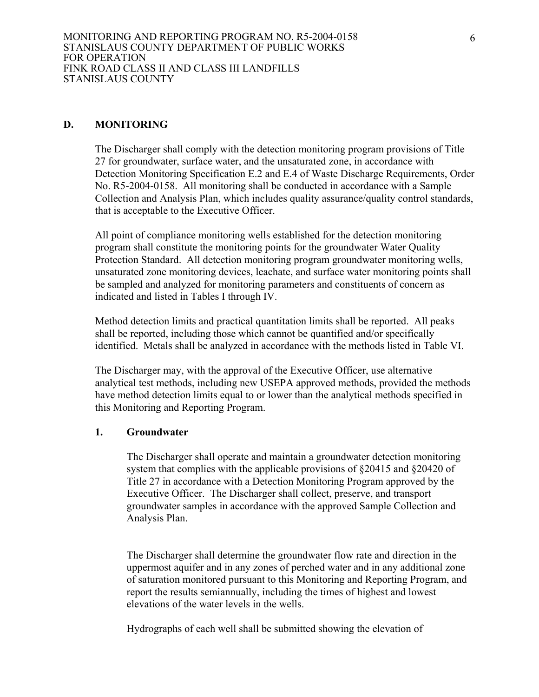#### **D. MONITORING**

The Discharger shall comply with the detection monitoring program provisions of Title 27 for groundwater, surface water, and the unsaturated zone, in accordance with Detection Monitoring Specification E.2 and E.4 of Waste Discharge Requirements, Order No. R5-2004-0158. All monitoring shall be conducted in accordance with a Sample Collection and Analysis Plan, which includes quality assurance/quality control standards, that is acceptable to the Executive Officer.

All point of compliance monitoring wells established for the detection monitoring program shall constitute the monitoring points for the groundwater Water Quality Protection Standard. All detection monitoring program groundwater monitoring wells, unsaturated zone monitoring devices, leachate, and surface water monitoring points shall be sampled and analyzed for monitoring parameters and constituents of concern as indicated and listed in Tables I through IV.

Method detection limits and practical quantitation limits shall be reported. All peaks shall be reported, including those which cannot be quantified and/or specifically identified. Metals shall be analyzed in accordance with the methods listed in Table VI.

The Discharger may, with the approval of the Executive Officer, use alternative analytical test methods, including new USEPA approved methods, provided the methods have method detection limits equal to or lower than the analytical methods specified in this Monitoring and Reporting Program.

#### **1. Groundwater**

The Discharger shall operate and maintain a groundwater detection monitoring system that complies with the applicable provisions of §20415 and §20420 of Title 27 in accordance with a Detection Monitoring Program approved by the Executive Officer. The Discharger shall collect, preserve, and transport groundwater samples in accordance with the approved Sample Collection and Analysis Plan.

The Discharger shall determine the groundwater flow rate and direction in the uppermost aquifer and in any zones of perched water and in any additional zone of saturation monitored pursuant to this Monitoring and Reporting Program, and report the results semiannually, including the times of highest and lowest elevations of the water levels in the wells.

Hydrographs of each well shall be submitted showing the elevation of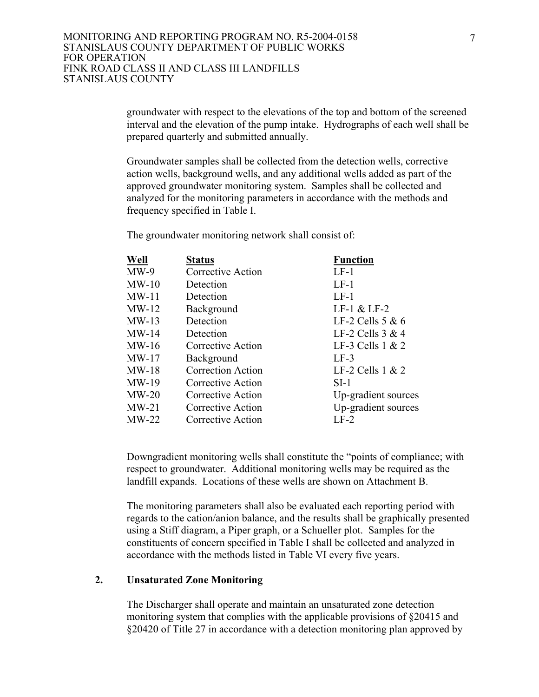groundwater with respect to the elevations of the top and bottom of the screened interval and the elevation of the pump intake. Hydrographs of each well shall be prepared quarterly and submitted annually.

Groundwater samples shall be collected from the detection wells, corrective action wells, background wells, and any additional wells added as part of the approved groundwater monitoring system. Samples shall be collected and analyzed for the monitoring parameters in accordance with the methods and frequency specified in Table I.

The groundwater monitoring network shall consist of:

| Well    | <b>Status</b>            | <b>Function</b>     |
|---------|--------------------------|---------------------|
| $MW-9$  | Corrective Action        | $LF-1$              |
| $MW-10$ | Detection                | $LF-1$              |
| MW-11   | Detection                | $LF-1$              |
| $MW-12$ | Background               | LF-1 $&$ LF-2       |
| $MW-13$ | Detection                | LF-2 Cells $5 & 6$  |
| $MW-14$ | Detection                | LF-2 Cells $3 & 4$  |
| $MW-16$ | Corrective Action        | LF-3 Cells $1 & 2$  |
| MW-17   | Background               | $LF-3$              |
| MW-18   | <b>Correction Action</b> | LF-2 Cells $1 & 2$  |
| MW-19   | Corrective Action        | $SI-1$              |
| $MW-20$ | Corrective Action        | Up-gradient sources |
| $MW-21$ | Corrective Action        | Up-gradient sources |
| MW-22   | Corrective Action        | $LF-2$              |

Downgradient monitoring wells shall constitute the "points of compliance; with respect to groundwater. Additional monitoring wells may be required as the landfill expands. Locations of these wells are shown on Attachment B.

The monitoring parameters shall also be evaluated each reporting period with regards to the cation/anion balance, and the results shall be graphically presented using a Stiff diagram, a Piper graph, or a Schueller plot. Samples for the constituents of concern specified in Table I shall be collected and analyzed in accordance with the methods listed in Table VI every five years.

#### **2. Unsaturated Zone Monitoring**

The Discharger shall operate and maintain an unsaturated zone detection monitoring system that complies with the applicable provisions of §20415 and §20420 of Title 27 in accordance with a detection monitoring plan approved by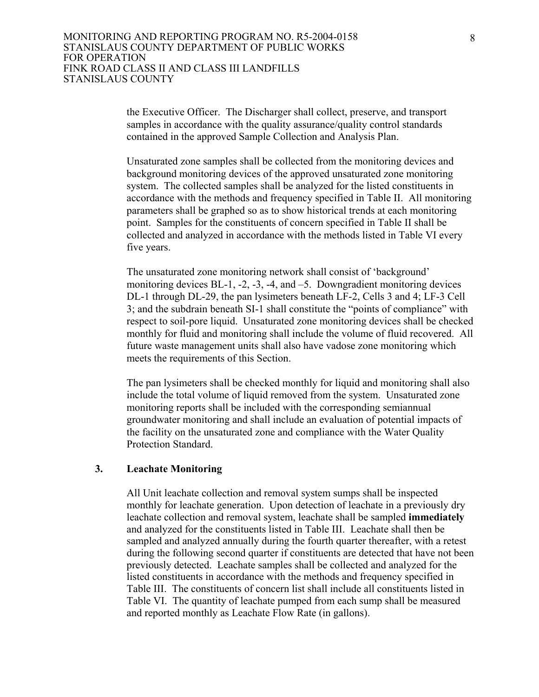the Executive Officer. The Discharger shall collect, preserve, and transport samples in accordance with the quality assurance/quality control standards contained in the approved Sample Collection and Analysis Plan.

Unsaturated zone samples shall be collected from the monitoring devices and background monitoring devices of the approved unsaturated zone monitoring system. The collected samples shall be analyzed for the listed constituents in accordance with the methods and frequency specified in Table II. All monitoring parameters shall be graphed so as to show historical trends at each monitoring point. Samples for the constituents of concern specified in Table II shall be collected and analyzed in accordance with the methods listed in Table VI every five years.

The unsaturated zone monitoring network shall consist of 'background' monitoring devices BL-1, -2, -3, -4, and –5. Downgradient monitoring devices DL-1 through DL-29, the pan lysimeters beneath LF-2, Cells 3 and 4; LF-3 Cell 3; and the subdrain beneath SI-1 shall constitute the "points of compliance" with respect to soil-pore liquid. Unsaturated zone monitoring devices shall be checked monthly for fluid and monitoring shall include the volume of fluid recovered. All future waste management units shall also have vadose zone monitoring which meets the requirements of this Section.

The pan lysimeters shall be checked monthly for liquid and monitoring shall also include the total volume of liquid removed from the system. Unsaturated zone monitoring reports shall be included with the corresponding semiannual groundwater monitoring and shall include an evaluation of potential impacts of the facility on the unsaturated zone and compliance with the Water Quality Protection Standard.

#### **3. Leachate Monitoring**

All Unit leachate collection and removal system sumps shall be inspected monthly for leachate generation. Upon detection of leachate in a previously dry leachate collection and removal system, leachate shall be sampled **immediately** and analyzed for the constituents listed in Table III. Leachate shall then be sampled and analyzed annually during the fourth quarter thereafter, with a retest during the following second quarter if constituents are detected that have not been previously detected. Leachate samples shall be collected and analyzed for the listed constituents in accordance with the methods and frequency specified in Table III. The constituents of concern list shall include all constituents listed in Table VI. The quantity of leachate pumped from each sump shall be measured and reported monthly as Leachate Flow Rate (in gallons).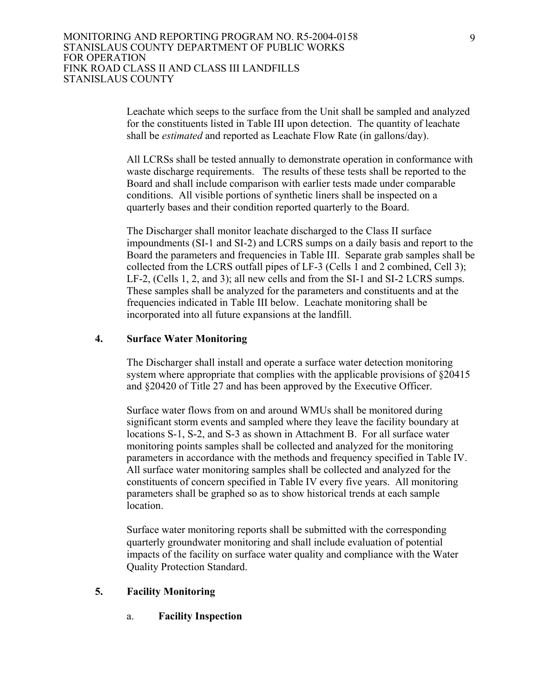Leachate which seeps to the surface from the Unit shall be sampled and analyzed for the constituents listed in Table III upon detection. The quantity of leachate shall be *estimated* and reported as Leachate Flow Rate (in gallons/day).

All LCRSs shall be tested annually to demonstrate operation in conformance with waste discharge requirements. The results of these tests shall be reported to the Board and shall include comparison with earlier tests made under comparable conditions. All visible portions of synthetic liners shall be inspected on a quarterly bases and their condition reported quarterly to the Board.

The Discharger shall monitor leachate discharged to the Class II surface impoundments (SI-1 and SI-2) and LCRS sumps on a daily basis and report to the Board the parameters and frequencies in Table III. Separate grab samples shall be collected from the LCRS outfall pipes of LF-3 (Cells 1 and 2 combined, Cell 3); LF-2, (Cells 1, 2, and 3); all new cells and from the SI-1 and SI-2 LCRS sumps. These samples shall be analyzed for the parameters and constituents and at the frequencies indicated in Table III below. Leachate monitoring shall be incorporated into all future expansions at the landfill.

#### **4. Surface Water Monitoring**

The Discharger shall install and operate a surface water detection monitoring system where appropriate that complies with the applicable provisions of  $\S 20415$ and §20420 of Title 27 and has been approved by the Executive Officer.

Surface water flows from on and around WMUs shall be monitored during significant storm events and sampled where they leave the facility boundary at locations S-1, S-2, and S-3 as shown in Attachment B. For all surface water monitoring points samples shall be collected and analyzed for the monitoring parameters in accordance with the methods and frequency specified in Table IV. All surface water monitoring samples shall be collected and analyzed for the constituents of concern specified in Table IV every five years. All monitoring parameters shall be graphed so as to show historical trends at each sample location.

Surface water monitoring reports shall be submitted with the corresponding quarterly groundwater monitoring and shall include evaluation of potential impacts of the facility on surface water quality and compliance with the Water Quality Protection Standard.

## **5. Facility Monitoring**

a. **Facility Inspection**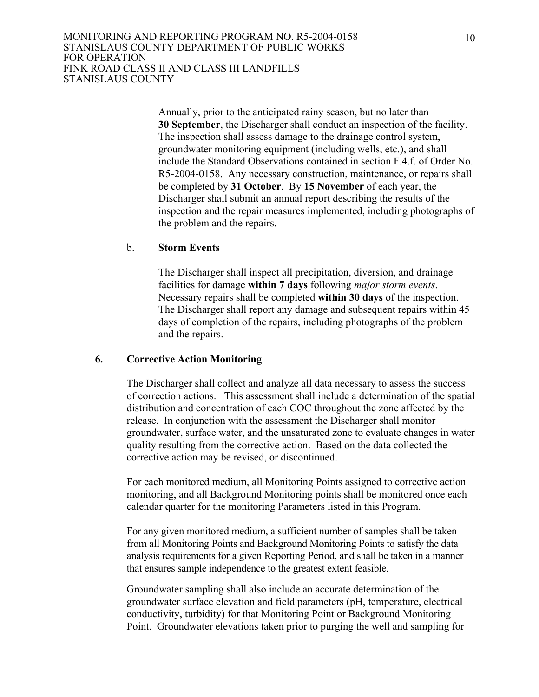Annually, prior to the anticipated rainy season, but no later than **30 September**, the Discharger shall conduct an inspection of the facility. The inspection shall assess damage to the drainage control system, groundwater monitoring equipment (including wells, etc.), and shall include the Standard Observations contained in section F.4.f. of Order No. R5-2004-0158. Any necessary construction, maintenance, or repairs shall be completed by **31 October**. By **15 November** of each year, the Discharger shall submit an annual report describing the results of the inspection and the repair measures implemented, including photographs of the problem and the repairs.

#### b. **Storm Events**

The Discharger shall inspect all precipitation, diversion, and drainage facilities for damage **within 7 days** following *major storm events*. Necessary repairs shall be completed **within 30 days** of the inspection. The Discharger shall report any damage and subsequent repairs within 45 days of completion of the repairs, including photographs of the problem and the repairs.

#### **6. Corrective Action Monitoring**

The Discharger shall collect and analyze all data necessary to assess the success of correction actions. This assessment shall include a determination of the spatial distribution and concentration of each COC throughout the zone affected by the release. In conjunction with the assessment the Discharger shall monitor groundwater, surface water, and the unsaturated zone to evaluate changes in water quality resulting from the corrective action. Based on the data collected the corrective action may be revised, or discontinued.

For each monitored medium, all Monitoring Points assigned to corrective action monitoring, and all Background Monitoring points shall be monitored once each calendar quarter for the monitoring Parameters listed in this Program.

For any given monitored medium, a sufficient number of samples shall be taken from all Monitoring Points and Background Monitoring Points to satisfy the data analysis requirements for a given Reporting Period, and shall be taken in a manner that ensures sample independence to the greatest extent feasible.

 Groundwater sampling shall also include an accurate determination of the groundwater surface elevation and field parameters (pH, temperature, electrical conductivity, turbidity) for that Monitoring Point or Background Monitoring Point. Groundwater elevations taken prior to purging the well and sampling for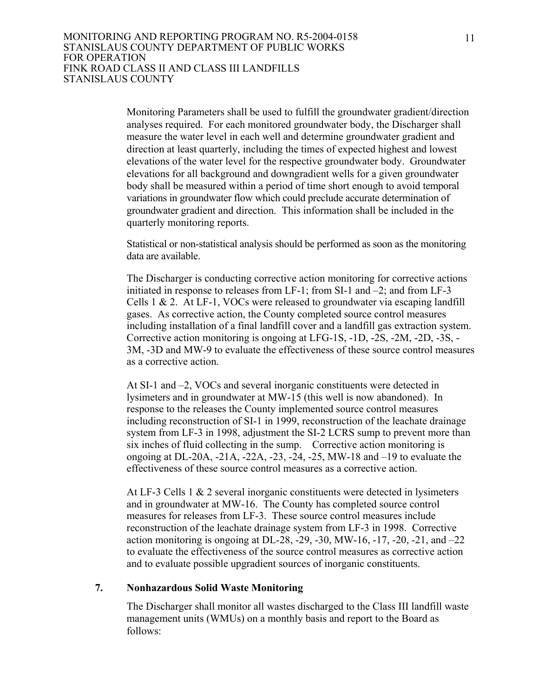Monitoring Parameters shall be used to fulfill the groundwater gradient/direction analyses required. For each monitored groundwater body, the Discharger shall measure the water level in each well and determine groundwater gradient and direction at least quarterly, including the times of expected highest and lowest elevations of the water level for the respective groundwater body. Groundwater elevations for all background and downgradient wells for a given groundwater body shall be measured within a period of time short enough to avoid temporal variations in groundwater flow which could preclude accurate determination of groundwater gradient and direction. This information shall be included in the quarterly monitoring reports.

Statistical or non-statistical analysis should be performed as soon as the monitoring data are available.

The Discharger is conducting corrective action monitoring for corrective actions initiated in response to releases from LF-1; from SI-1 and –2; and from LF-3 Cells  $1 \& 2$ . At LF-1, VOCs were released to groundwater via escaping landfill gases. As corrective action, the County completed source control measures including installation of a final landfill cover and a landfill gas extraction system. Corrective action monitoring is ongoing at LFG-1S, -1D, -2S, -2M, -2D, -3S, - 3M, -3D and MW-9 to evaluate the effectiveness of these source control measures as a corrective action.

 At SI-1 and –2, VOCs and several inorganic constituents were detected in lysimeters and in groundwater at MW-15 (this well is now abandoned). In response to the releases the County implemented source control measures including reconstruction of SI-1 in 1999, reconstruction of the leachate drainage system from LF-3 in 1998, adjustment the SI-2 LCRS sump to prevent more than six inches of fluid collecting in the sump. Corrective action monitoring is ongoing at DL-20A, -21A, -22A, -23, -24, -25, MW-18 and –19 to evaluate the effectiveness of these source control measures as a corrective action.

 At LF-3 Cells 1 & 2 several inorganic constituents were detected in lysimeters and in groundwater at MW-16. The County has completed source control measures for releases from LF-3. These source control measures include reconstruction of the leachate drainage system from LF-3 in 1998. Corrective action monitoring is ongoing at DL-28, -29, -30, MW-16, -17, -20, -21, and  $-22$ to evaluate the effectiveness of the source control measures as corrective action and to evaluate possible upgradient sources of inorganic constituents.

#### **7. Nonhazardous Solid Waste Monitoring**

 The Discharger shall monitor all wastes discharged to the Class III landfill waste management units (WMUs) on a monthly basis and report to the Board as follows: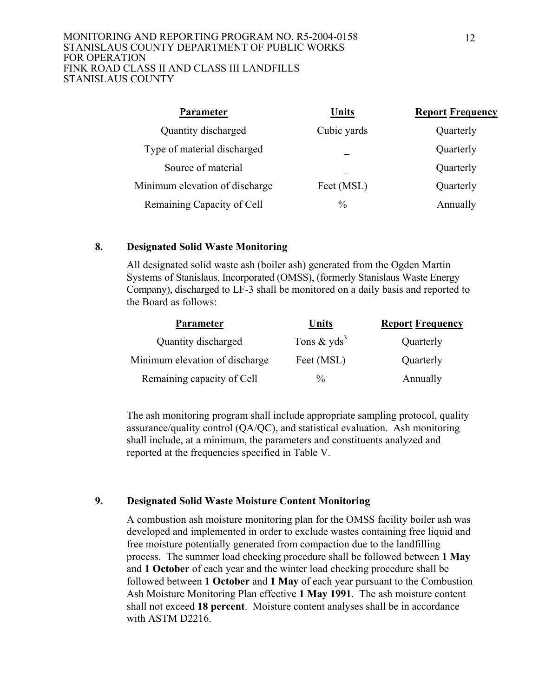#### MONITORING AND REPORTING PROGRAM NO. R5-2004-0158 STANISLAUS COUNTY DEPARTMENT OF PUBLIC WORKS FOR OPERATION FINK ROAD CLASS II AND CLASS III LANDFILLS STANISLAUS COUNTY

| <b>Parameter</b>               | Units         | <b>Report Frequency</b> |
|--------------------------------|---------------|-------------------------|
| Quantity discharged            | Cubic yards   | Quarterly               |
| Type of material discharged    |               | Quarterly               |
| Source of material             |               | Quarterly               |
| Minimum elevation of discharge | Feet (MSL)    | Quarterly               |
| Remaining Capacity of Cell     | $\frac{0}{0}$ | Annually                |

## **8. Designated Solid Waste Monitoring**

 All designated solid waste ash (boiler ash) generated from the Ogden Martin Systems of Stanislaus, Incorporated (OMSS), (formerly Stanislaus Waste Energy Company), discharged to LF-3 shall be monitored on a daily basis and reported to the Board as follows:

| <b>Parameter</b>               | <b>Units</b>              | <b>Report Frequency</b> |
|--------------------------------|---------------------------|-------------------------|
| Quantity discharged            | Tons $&$ yds <sup>3</sup> | Quarterly               |
| Minimum elevation of discharge | Feet (MSL)                | Quarterly               |
| Remaining capacity of Cell     | $\frac{0}{0}$             | Annually                |

 The ash monitoring program shall include appropriate sampling protocol, quality assurance/quality control (QA/QC), and statistical evaluation. Ash monitoring shall include, at a minimum, the parameters and constituents analyzed and reported at the frequencies specified in Table V.

## **9. Designated Solid Waste Moisture Content Monitoring**

 A combustion ash moisture monitoring plan for the OMSS facility boiler ash was developed and implemented in order to exclude wastes containing free liquid and free moisture potentially generated from compaction due to the landfilling process. The summer load checking procedure shall be followed between **1 May**  and **1 October** of each year and the winter load checking procedure shall be followed between **1 October** and **1 May** of each year pursuant to the Combustion Ash Moisture Monitoring Plan effective **1 May 1991**. The ash moisture content shall not exceed **18 percent**. Moisture content analyses shall be in accordance with ASTM D2216.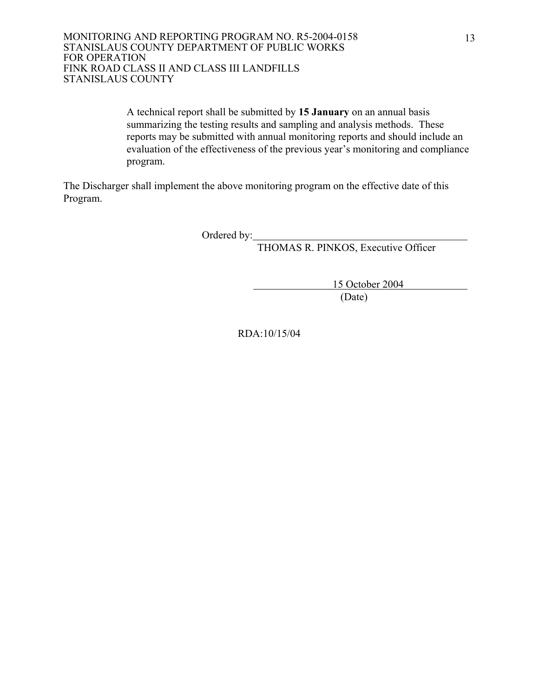A technical report shall be submitted by **15 January** on an annual basis summarizing the testing results and sampling and analysis methods. These reports may be submitted with annual monitoring reports and should include an evaluation of the effectiveness of the previous year's monitoring and compliance program.

The Discharger shall implement the above monitoring program on the effective date of this Program.

Ordered by:

THOMAS R. PINKOS, Executive Officer

 15 October 2004 (Date)

RDA:10/15/04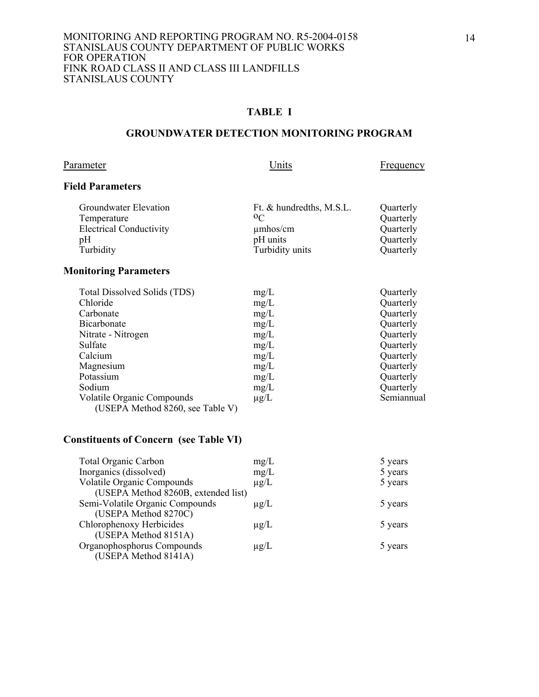## **TABLE I**

#### **GROUNDWATER DETECTION MONITORING PROGRAM**

Parameter Units Erequency

## **Field Parameters**

| Groundwater Elevation          | Ft. & hundredths, M.S.L. | Quarterly |
|--------------------------------|--------------------------|-----------|
| Temperature                    | 0 <sup>C</sup>           | Quarterly |
| <b>Electrical Conductivity</b> | $\mu$ mhos/cm            | Quarterly |
| pΗ                             | pH units                 | Quarterly |
| Turbidity                      | Turbidity units          | Quarterly |
|                                |                          |           |

# **Monitoring Parameters**

| Total Dissolved Solids (TDS)                                          | mg/L      | Quarterly  |
|-----------------------------------------------------------------------|-----------|------------|
| Chloride                                                              | mg/L      | Quarterly  |
| Carbonate                                                             | mg/L      | Quarterly  |
| Bicarbonate                                                           | mg/L      | Quarterly  |
| Nitrate - Nitrogen                                                    | mg/L      | Quarterly  |
| Sulfate                                                               | mg/L      | Quarterly  |
| Calcium                                                               | mg/L      | Quarterly  |
| Magnesium                                                             | mg/L      | Quarterly  |
| Potassium                                                             | mg/L      | Quarterly  |
| Sodium                                                                | mg/L      | Quarterly  |
| <b>Volatile Organic Compounds</b><br>(USEPA Method 8260, see Table V) | $\mu$ g/L | Semiannual |

## **Constituents of Concern (see Table VI)**

| <b>Total Organic Carbon</b>         | mg/L      | 5 years |
|-------------------------------------|-----------|---------|
| Inorganics (dissolved)              | mg/L      | 5 years |
| <b>Volatile Organic Compounds</b>   | $\mu$ g/L | 5 years |
| (USEPA Method 8260B, extended list) |           |         |
| Semi-Volatile Organic Compounds     | $\mu$ g/L | 5 years |
| (USEPA Method 8270C)                |           |         |
| Chlorophenoxy Herbicides            | $\mu$ g/L | 5 years |
| (USEPA Method 8151A)                |           |         |
| Organophosphorus Compounds          | $\mu$ g/L | 5 years |
| (USEPA Method 8141A)                |           |         |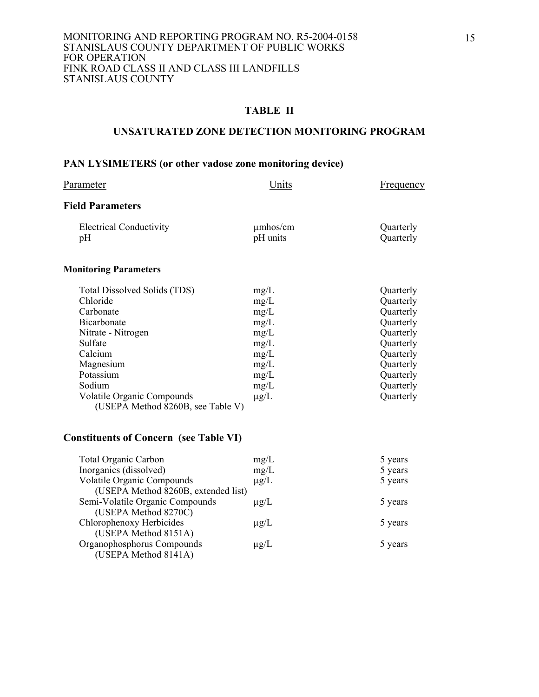## **UNSATURATED ZONE DETECTION MONITORING PROGRAM**

## **PAN LYSIMETERS (or other vadose zone monitoring device)**

| Parameter                                                                                                                                                                                                               | <u>Units</u>                                                                              | <b>Frequency</b>                                                                                                                            |
|-------------------------------------------------------------------------------------------------------------------------------------------------------------------------------------------------------------------------|-------------------------------------------------------------------------------------------|---------------------------------------------------------------------------------------------------------------------------------------------|
| <b>Field Parameters</b>                                                                                                                                                                                                 |                                                                                           |                                                                                                                                             |
| <b>Electrical Conductivity</b><br>pH                                                                                                                                                                                    | $\mu$ mhos/cm<br>pH units                                                                 | Quarterly<br>Quarterly                                                                                                                      |
| <b>Monitoring Parameters</b>                                                                                                                                                                                            |                                                                                           |                                                                                                                                             |
| Total Dissolved Solids (TDS)<br>Chloride<br>Carbonate<br>Bicarbonate<br>Nitrate - Nitrogen<br>Sulfate<br>Calcium<br>Magnesium<br>Potassium<br>Sodium<br>Volatile Organic Compounds<br>(USEPA Method 8260B, see Table V) | mg/L<br>mg/L<br>mg/L<br>mg/L<br>mg/L<br>mg/L<br>mg/L<br>mg/L<br>mg/L<br>mg/L<br>$\mu$ g/L | Quarterly<br>Quarterly<br>Quarterly<br>Quarterly<br>Quarterly<br>Quarterly<br>Quarterly<br>Quarterly<br>Quarterly<br>Quarterly<br>Quarterly |
| <b>Constituents of Concern (see Table VI)</b>                                                                                                                                                                           |                                                                                           |                                                                                                                                             |
| <b>Total Organic Carbon</b><br>Inorganics (dissolved)<br>Volatile Organic Compounds                                                                                                                                     | mg/L<br>mg/L<br>$\mu$ of $\sigma$ .                                                       | 5 years<br>5 years<br>5 years                                                                                                               |

|                                     |           | - 1 - - - - |
|-------------------------------------|-----------|-------------|
| Inorganics (dissolved)              | mg/L      | 5 years     |
| Volatile Organic Compounds          | $\mu$ g/L | 5 years     |
| (USEPA Method 8260B, extended list) |           |             |
| Semi-Volatile Organic Compounds     | $\mu$ g/L | 5 years     |
| (USEPA Method 8270C)                |           |             |
| Chlorophenoxy Herbicides            | $\mu$ g/L | 5 years     |
| (USEPA Method 8151A)                |           |             |
| Organophosphorus Compounds          | $\mu$ g/L | 5 years     |
| (USEPA Method 8141A)                |           |             |
|                                     |           |             |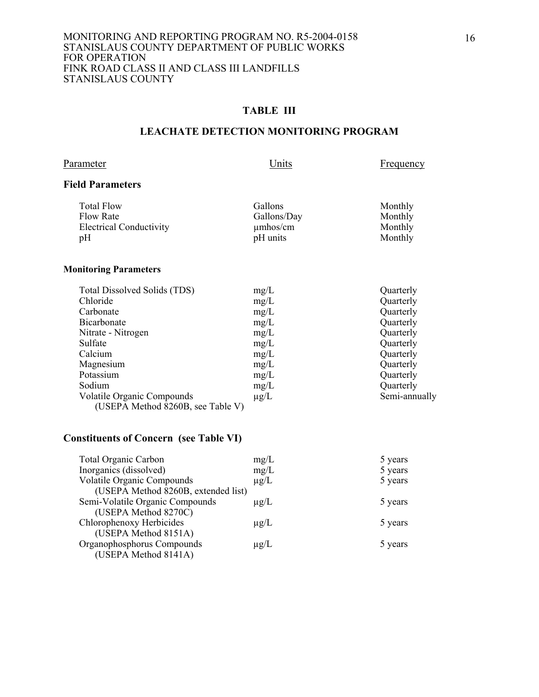## **TABLE III**

## **LEACHATE DETECTION MONITORING PROGRAM**

Parameter Units Erequency

## **Field Parameters**

| <b>Total Flow</b>              | Gallons       | Monthly |
|--------------------------------|---------------|---------|
| Flow Rate                      | Gallons/Day   | Monthly |
| <b>Electrical Conductivity</b> | $\mu$ mhos/cm | Monthly |
| pH                             | pH units      | Monthly |
|                                |               |         |

#### **Monitoring Parameters**

| Total Dissolved Solids (TDS)                                           | mg/L      | Quarterly     |
|------------------------------------------------------------------------|-----------|---------------|
| Chloride                                                               | mg/L      | Quarterly     |
| Carbonate                                                              | mg/L      | Quarterly     |
| Bicarbonate                                                            | mg/L      | Quarterly     |
| Nitrate - Nitrogen                                                     | mg/L      | Quarterly     |
| Sulfate                                                                | mg/L      | Quarterly     |
| Calcium                                                                | mg/L      | Quarterly     |
| Magnesium                                                              | mg/L      | Quarterly     |
| Potassium                                                              | mg/L      | Quarterly     |
| Sodium                                                                 | mg/L      | Quarterly     |
| <b>Volatile Organic Compounds</b><br>(USEPA Method 8260B, see Table V) | $\mu$ g/L | Semi-annually |

# **Constituents of Concern (see Table VI)**

| <b>Total Organic Carbon</b>         | mg/L      | 5 years |
|-------------------------------------|-----------|---------|
| Inorganics (dissolved)              | mg/L      | 5 years |
| <b>Volatile Organic Compounds</b>   | $\mu$ g/L | 5 years |
| (USEPA Method 8260B, extended list) |           |         |
| Semi-Volatile Organic Compounds     | $\mu$ g/L | 5 years |
| (USEPA Method 8270C)                |           |         |
| Chlorophenoxy Herbicides            | $\mu$ g/L | 5 years |
| (USEPA Method 8151A)                |           |         |
| Organophosphorus Compounds          | $\mu$ g/L | 5 years |
| (USEPA Method 8141A)                |           |         |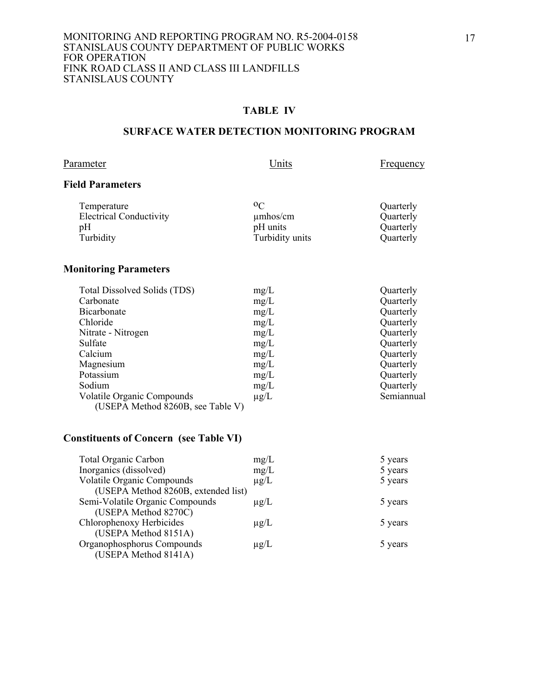#### **TABLE IV**

## **SURFACE WATER DETECTION MONITORING PROGRAM**

Parameter Units Erequency

## **Field Parameters**

| Temperature                    | $0\sigma$       | Quarterly |
|--------------------------------|-----------------|-----------|
| <b>Electrical Conductivity</b> | $\mu$ mhos/cm   | Quarterly |
| pH                             | pH units        | Quarterly |
| Turbidity                      | Turbidity units | Quarterly |
|                                |                 |           |

# **Monitoring Parameters**

| Total Dissolved Solids (TDS)      | mg/L      | Quarterly  |
|-----------------------------------|-----------|------------|
| Carbonate                         | mg/L      | Quarterly  |
| Bicarbonate                       | mg/L      | Quarterly  |
| Chloride                          | mg/L      | Quarterly  |
| Nitrate - Nitrogen                | mg/L      | Quarterly  |
| Sulfate                           | mg/L      | Quarterly  |
| Calcium                           | mg/L      | Quarterly  |
| Magnesium                         | mg/L      | Quarterly  |
| Potassium                         | mg/L      | Quarterly  |
| Sodium                            | mg/L      | Quarterly  |
| <b>Volatile Organic Compounds</b> | $\mu$ g/L | Semiannual |
| (USEPA Method 8260B, see Table V) |           |            |

# **Constituents of Concern (see Table VI)**

| <b>Total Organic Carbon</b>         | mg/L      | 5 years |
|-------------------------------------|-----------|---------|
| Inorganics (dissolved)              | mg/L      | 5 years |
| <b>Volatile Organic Compounds</b>   | $\mu$ g/L | 5 years |
| (USEPA Method 8260B, extended list) |           |         |
| Semi-Volatile Organic Compounds     | $\mu$ g/L | 5 years |
| (USEPA Method 8270C)                |           |         |
| Chlorophenoxy Herbicides            | $\mu$ g/L | 5 years |
| (USEPA Method 8151A)                |           |         |
| Organophosphorus Compounds          | $\mu$ g/L | 5 years |
| (USEPA Method 8141A)                |           |         |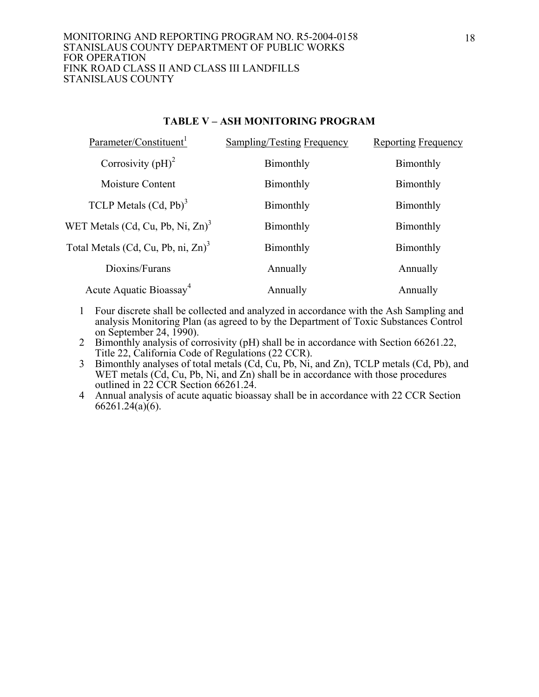#### MONITORING AND REPORTING PROGRAM NO. R5-2004-0158 STANISLAUS COUNTY DEPARTMENT OF PUBLIC WORKS FOR OPERATION FINK ROAD CLASS II AND CLASS III LANDFILLS STANISLAUS COUNTY

## **TABLE V – ASH MONITORING PROGRAM**

| Parameter/Constituent <sup>1</sup>              | <b>Sampling/Testing Frequency</b> | <b>Reporting Frequency</b> |
|-------------------------------------------------|-----------------------------------|----------------------------|
| Corrosivity $(pH)^2$                            | Bimonthly                         | Bimonthly                  |
| Moisture Content                                | Bimonthly                         | Bimonthly                  |
| TCLP Metals $(Cd, Pb)^3$                        | Bimonthly                         | Bimonthly                  |
| WET Metals (Cd, Cu, Pb, Ni, $Zn$ ) <sup>3</sup> | Bimonthly                         | Bimonthly                  |
| Total Metals (Cd, Cu, Pb, ni, Zn) <sup>3</sup>  | Bimonthly                         | Bimonthly                  |
| Dioxins/Furans                                  | Annually                          | Annually                   |
| Acute Aquatic Bioassay <sup>4</sup>             | Annually                          | Annually                   |

- 1 Four discrete shall be collected and analyzed in accordance with the Ash Sampling and analysis Monitoring Plan (as agreed to by the Department of Toxic Substances Control on September 24, 1990).
- 2 Bimonthly analysis of corrosivity (pH) shall be in accordance with Section 66261.22, Title 22, California Code of Regulations (22 CCR).
- 3 Bimonthly analyses of total metals  $(Cd, \tilde{C}u, Pb, N_i)$ , and Zn), TCLP metals  $(Cd, Pb)$ , and WET metals (Cd, Cu, Pb, Ni, and Zn) shall be in accordance with those procedures outlined in 22 CCR Section 66261.24.
- 4 Annual analysis of acute aquatic bioassay shall be in accordance with 22 CCR Section  $66261.24(a)(6)$ .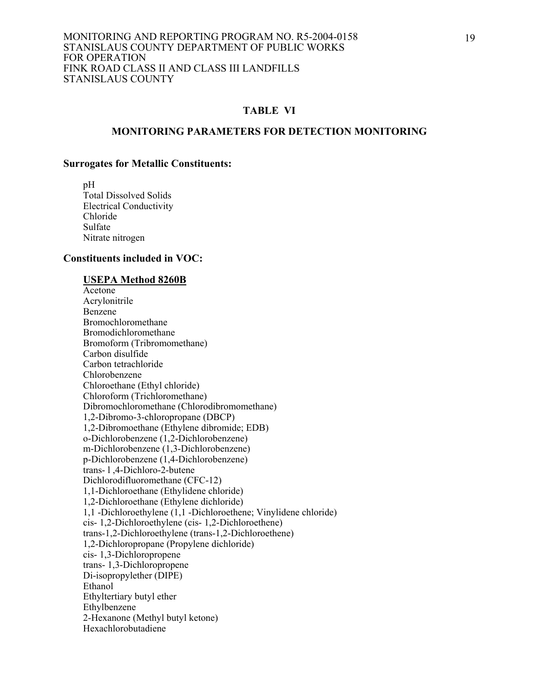#### **MONITORING PARAMETERS FOR DETECTION MONITORING**

#### **Surrogates for Metallic Constituents:**

 pH Total Dissolved Solids Electrical Conductivity Chloride Sulfate Nitrate nitrogen

#### **Constituents included in VOC:**

#### **USEPA Method 8260B**

 Acetone Acrylonitrile Benzene Bromochloromethane Bromodichloromethane Bromoform (Tribromomethane) Carbon disulfide Carbon tetrachloride Chlorobenzene Chloroethane (Ethyl chloride) Chloroform (Trichloromethane) Dibromochloromethane (Chlorodibromomethane) 1,2-Dibromo-3-chloropropane (DBCP) 1,2-Dibromoethane (Ethylene dibromide; EDB) o-Dichlorobenzene (1,2-Dichlorobenzene) m-Dichlorobenzene (1,3-Dichlorobenzene) p-Dichlorobenzene (1,4-Dichlorobenzene) trans- l ,4-Dichloro-2-butene Dichlorodifluoromethane (CFC-12) 1,1-Dichloroethane (Ethylidene chloride) 1,2-Dichloroethane (Ethylene dichloride) 1,1 -Dichloroethylene (1,1 -Dichloroethene; Vinylidene chloride) cis- 1,2-Dichloroethylene (cis- 1,2-Dichloroethene) trans-1,2-Dichloroethylene (trans-1,2-Dichloroethene) 1,2-Dichloropropane (Propylene dichloride) cis- 1,3-Dichloropropene trans- 1,3-Dichloropropene Di-isopropylether (DIPE) Ethanol Ethyltertiary butyl ether Ethylbenzene 2-Hexanone (Methyl butyl ketone) Hexachlorobutadiene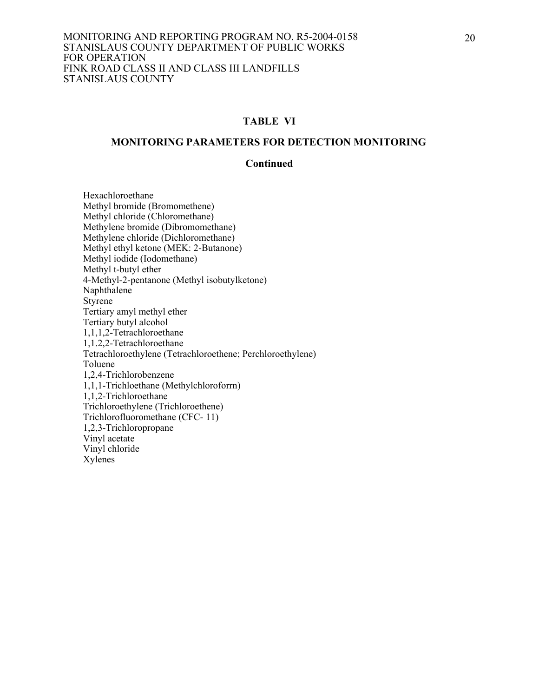## **MONITORING PARAMETERS FOR DETECTION MONITORING**

#### **Continued**

 Hexachloroethane Methyl bromide (Bromomethene) Methyl chloride (Chloromethane) Methylene bromide (Dibromomethane) Methylene chloride (Dichloromethane) Methyl ethyl ketone (MEK: 2-Butanone) Methyl iodide (Iodomethane) Methyl t-butyl ether 4-Methyl-2-pentanone (Methyl isobutylketone) Naphthalene Styrene Tertiary amyl methyl ether Tertiary butyl alcohol 1,1,1,2-Tetrachloroethane 1,1.2,2-Tetrachloroethane Tetrachloroethylene (Tetrachloroethene; Perchloroethylene) Toluene 1,2,4-Trichlorobenzene 1,1,1-Trichloethane (Methylchloroforrn) 1,1,2-Trichloroethane Trichloroethylene (Trichloroethene) Trichlorofluoromethane (CFC- 11) 1,2,3-Trichloropropane Vinyl acetate Vinyl chloride Xylenes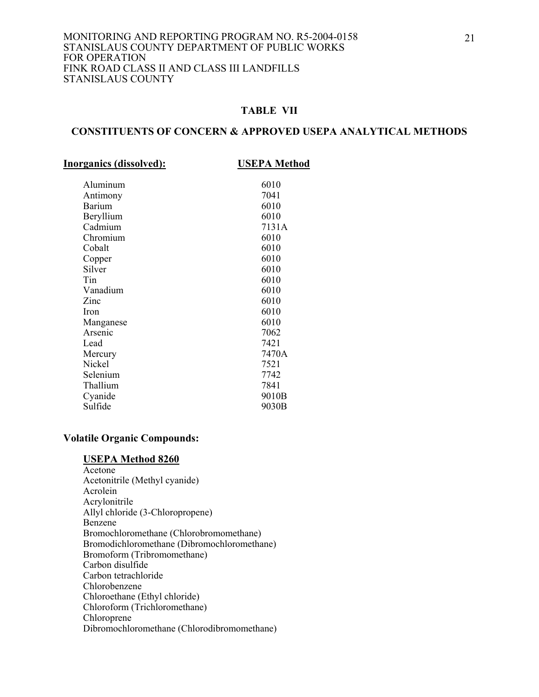## **CONSTITUENTS OF CONCERN & APPROVED USEPA ANALYTICAL METHODS**

| <b>Inorganics (dissolved):</b> | <b>USEPA Method</b> |
|--------------------------------|---------------------|
| Aluminum                       | 6010                |
| Antimony                       | 7041                |
| <b>Barium</b>                  | 6010                |
| Beryllium                      | 6010                |
| Cadmium                        | 7131A               |
| Chromium                       | 6010                |
| Cobalt                         | 6010                |
| Copper                         | 6010                |
| Silver                         | 6010                |
| Tin                            | 6010                |
| Vanadium                       | 6010                |
| Zinc                           | 6010                |
| Iron                           | 6010                |
| Manganese                      | 6010                |
| Arsenic                        | 7062                |
| Lead                           | 7421                |
| Mercury                        | 7470A               |
| Nickel                         | 7521                |
| Selenium                       | 7742                |
| Thallium                       | 7841                |
| Cyanide                        | 9010B               |
| Sulfide                        | 9030B               |
|                                |                     |

#### **Volatile Organic Compounds:**

#### **USEPA Method 8260**

 Acetone Acetonitrile (Methyl cyanide) Acrolein Acrylonitrile Allyl chloride (3-Chloropropene) Benzene Bromochloromethane (Chlorobromomethane) Bromodichloromethane (Dibromochloromethane) Bromoform (Tribromomethane) Carbon disulfide Carbon tetrachloride Chlorobenzene Chloroethane (Ethyl chloride) Chloroform (Trichloromethane) Chloroprene<sup>®</sup> Dibromochloromethane (Chlorodibromomethane)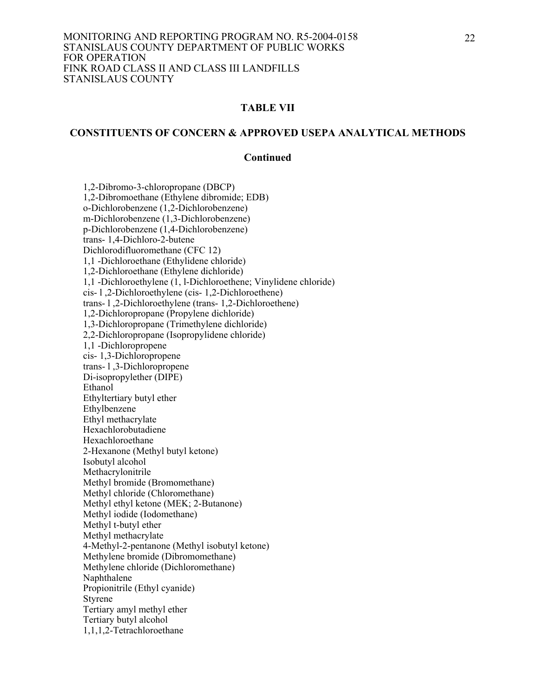#### **CONSTITUENTS OF CONCERN & APPROVED USEPA ANALYTICAL METHODS**

#### **Continued**

 1,2-Dibromo-3-chloropropane (DBCP) 1,2-Dibromoethane (Ethylene dibromide; EDB) o-Dichlorobenzene (1,2-Dichlorobenzene) m-Dichlorobenzene (1,3-Dichlorobenzene) p-Dichlorobenzene (1,4-Dichlorobenzene) trans- 1,4-Dichloro-2-butene Dichlorodifluoromethane (CFC 12) 1,1 -Dichloroethane (Ethylidene chloride) 1,2-Dichloroethane (Ethylene dichloride) 1,1 -Dichloroethylene (1, l-Dichloroethene; Vinylidene chloride) cis- l ,2-Dichloroethylene (cis- 1,2-Dichloroethene) trans- l ,2-Dichloroethylene (trans- 1,2-Dichloroethene) 1,2-Dichloropropane (Propylene dichloride) 1,3-Dichloropropane (Trimethylene dichloride) 2,2-Dichloropropane (Isopropylidene chloride) 1,1 -Dichloropropene cis- 1,3-Dichloropropene trans- l ,3-Dichloropropene Di-isopropylether (DIPE) Ethanol Ethyltertiary butyl ether Ethylbenzene Ethyl methacrylate Hexachlorobutadiene Hexachloroethane 2-Hexanone (Methyl butyl ketone) Isobutyl alcohol Methacrylonitrile Methyl bromide (Bromomethane) Methyl chloride (Chloromethane) Methyl ethyl ketone (MEK; 2-Butanone) Methyl iodide (Iodomethane) Methyl t-butyl ether Methyl methacrylate 4-Methyl-2-pentanone (Methyl isobutyl ketone) Methylene bromide (Dibromomethane) Methylene chloride (Dichloromethane) Naphthalene Propionitrile (Ethyl cyanide) Styrene Tertiary amyl methyl ether Tertiary butyl alcohol 1,1,1,2-Tetrachloroethane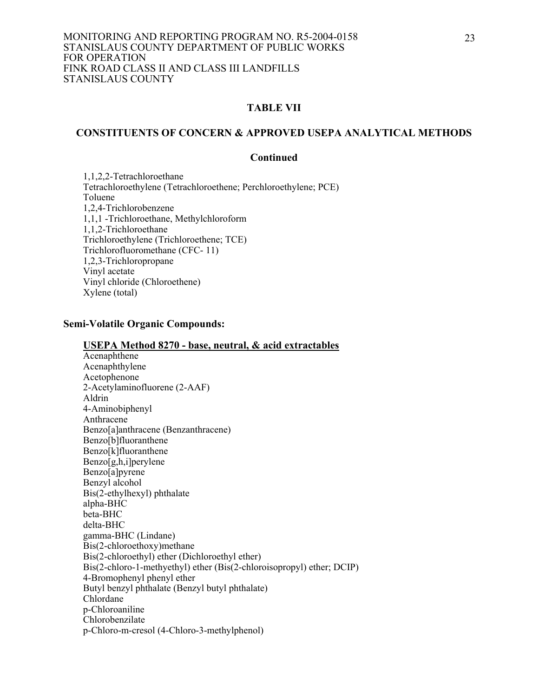#### **CONSTITUENTS OF CONCERN & APPROVED USEPA ANALYTICAL METHODS**

#### **Continued**

 1,1,2,2-Tetrachloroethane Tetrachloroethylene (Tetrachloroethene; Perchloroethylene; PCE) Toluene 1,2,4-Trichlorobenzene 1,1,1 -Trichloroethane, Methylchloroform 1,1,2-Trichloroethane Trichloroethylene (Trichloroethene; TCE) Trichlorofluoromethane (CFC- 11) 1,2,3-Trichloropropane Vinyl acetate Vinyl chloride (Chloroethene) Xylene (total)

#### **Semi-Volatile Organic Compounds:**

#### **USEPA Method 8270 - base, neutral, & acid extractables**

 Acenaphthene Acenaphthylene Acetophenone 2-Acetylaminofluorene (2-AAF) Aldrin 4-Aminobiphenyl Anthracene Benzo[a]anthracene (Benzanthracene) Benzo[b]fluoranthene Benzo[k]fluoranthene Benzo[g,h,i]perylene Benzo[a]pyrene Benzyl alcohol Bis(2-ethylhexyl) phthalate alpha-BHC beta-BHC delta-BHC gamma-BHC (Lindane) Bis(2-chloroethoxy)methane Bis(2-chloroethyl) ether (Dichloroethyl ether) Bis(2-chloro-1-methyethyl) ether (Bis(2-chloroisopropyl) ether; DCIP) 4-Bromophenyl phenyl ether Butyl benzyl phthalate (Benzyl butyl phthalate) Chlordane p-Chloroaniline Chlorobenzilate p-Chloro-m-cresol (4-Chloro-3-methylphenol)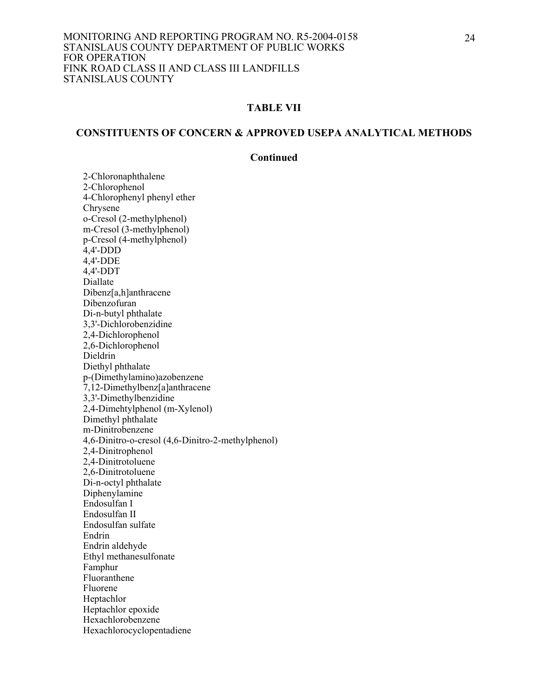#### **CONSTITUENTS OF CONCERN & APPROVED USEPA ANALYTICAL METHODS**

#### **Continued**

2-Chloronaphthalene 2-Chlorophenol 4-Chlorophenyl phenyl ether Chrysene o-Cresol (2-methylphenol) m-Cresol (3-methylphenol) p-Cresol (4-methylphenol) 4,4'-DDD 4,4'-DDE 4,4'-DDT Diallate Dibenz[a,h]anthracene Dibenzofuran Di-n-butyl phthalate 3,3'-Dichlorobenzidine 2,4-Dichlorophenol 2,6-Dichlorophenol Dieldrin Diethyl phthalate p-(Dimethylamino)azobenzene 7,12-Dimethylbenz[a]anthracene 3,3'-Dimethylbenzidine 2,4-Dimehtylphenol (m-Xylenol) Dimethyl phthalate m-Dinitrobenzene 4,6-Dinitro-o-cresol (4,6-Dinitro-2-methylphenol) 2,4-Dinitrophenol 2,4-Dinitrotoluene 2,6-Dinitrotoluene Di-n-octyl phthalate Diphenylamine Endosulfan I Endosulfan II Endosulfan sulfate Endrin Endrin aldehyde Ethyl methanesulfonate Famphur Fluoranthene Fluorene Heptachlor Heptachlor epoxide Hexachlorobenzene Hexachlorocyclopentadiene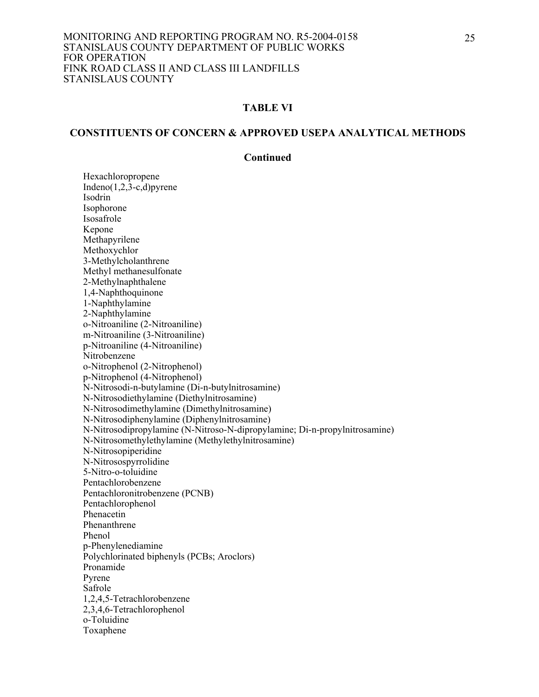#### **CONSTITUENTS OF CONCERN & APPROVED USEPA ANALYTICAL METHODS**

#### **Continued**

 Hexachloropropene Indeno $(1,2,3-c,d)$ pyrene Isodrin Isophorone Isosafrole Kepone Methapyrilene Methoxychlor 3-Methylcholanthrene Methyl methanesulfonate 2-Methylnaphthalene 1,4-Naphthoquinone 1-Naphthylamine 2-Naphthylamine o-Nitroaniline (2-Nitroaniline) m-Nitroaniline (3-Nitroaniline) p-Nitroaniline (4-Nitroaniline) Nitrobenzene o-Nitrophenol (2-Nitrophenol) p-Nitrophenol (4-Nitrophenol) N-Nitrosodi-n-butylamine (Di-n-butylnitrosamine) N-Nitrosodiethylamine (Diethylnitrosamine) N-Nitrosodimethylamine (Dimethylnitrosamine) N-Nitrosodiphenylamine (Diphenylnitrosamine) N-Nitrosodipropylamine (N-Nitroso-N-dipropylamine; Di-n-propylnitrosamine) N-Nitrosomethylethylamine (Methylethylnitrosamine) N-Nitrosopiperidine N-Nitrosospyrrolidine 5-Nitro-o-toluidine Pentachlorobenzene Pentachloronitrobenzene (PCNB) Pentachlorophenol Phenacetin Phenanthrene Phenol p-Phenylenediamine Polychlorinated biphenyls (PCBs; Aroclors) Pronamide Pyrene Safrole 1,2,4,5-Tetrachlorobenzene 2,3,4,6-Tetrachlorophenol o-Toluidine Toxaphene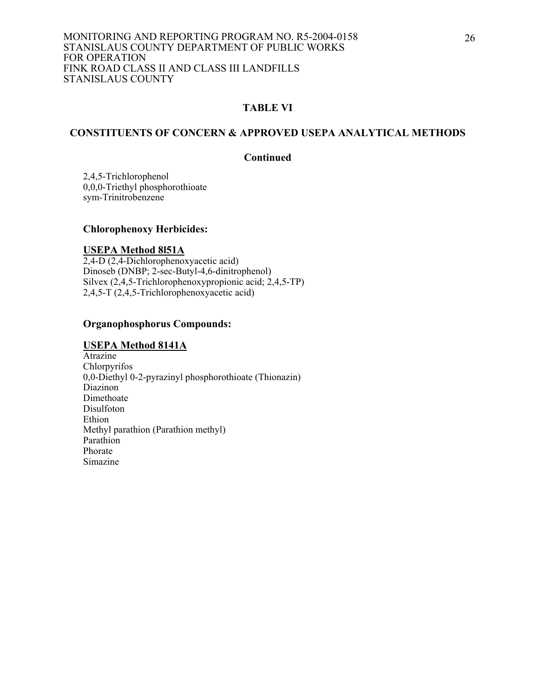#### **CONSTITUENTS OF CONCERN & APPROVED USEPA ANALYTICAL METHODS**

#### **Continued**

 2,4,5-Trichlorophenol 0,0,0-Triethyl phosphorothioate sym-Trinitrobenzene

#### **Chlorophenoxy Herbicides:**

#### **USEPA Method 8l51A**

2,4-D (2,4-Dichlorophenoxyacetic acid) Dinoseb (DNBP; 2-sec-Butyl-4,6-dinitrophenol) Silvex (2,4,5-Trichlorophenoxypropionic acid; 2,4,5-TP) 2,4,5-T (2,4,5-Trichlorophenoxyacetic acid)

## **Organophosphorus Compounds:**

#### **USEPA Method 8141A**

Atrazine Chlorpyrifos 0,0-Diethyl 0-2-pyrazinyl phosphorothioate (Thionazin) Diazinon Dimethoate Disulfoton Ethion Methyl parathion (Parathion methyl) Parathion Phorate Simazine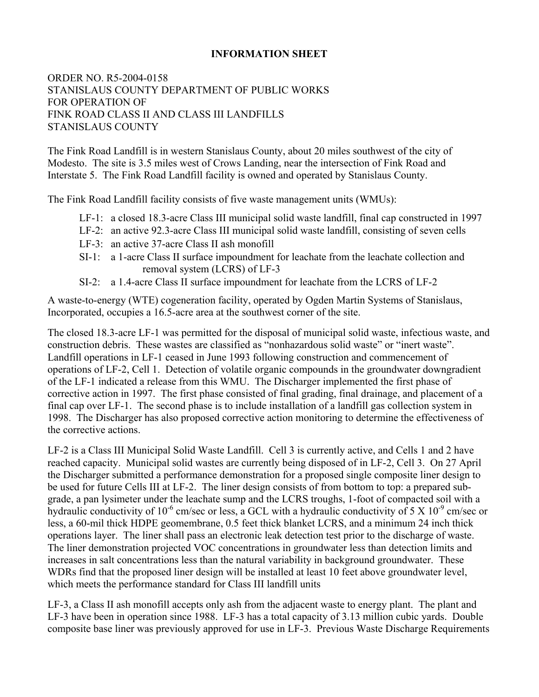## **INFORMATION SHEET**

## ORDER NO. R5-2004-0158 STANISLAUS COUNTY DEPARTMENT OF PUBLIC WORKS FOR OPERATION OF FINK ROAD CLASS II AND CLASS III LANDFILLS STANISLAUS COUNTY

The Fink Road Landfill is in western Stanislaus County, about 20 miles southwest of the city of Modesto. The site is 3.5 miles west of Crows Landing, near the intersection of Fink Road and Interstate 5. The Fink Road Landfill facility is owned and operated by Stanislaus County.

The Fink Road Landfill facility consists of five waste management units (WMUs):

- LF-1: a closed 18.3-acre Class III municipal solid waste landfill, final cap constructed in 1997
- LF-2: an active 92.3-acre Class III municipal solid waste landfill, consisting of seven cells
- LF-3: an active 37-acre Class II ash monofill
- SI-1: a 1-acre Class II surface impoundment for leachate from the leachate collection and removal system (LCRS) of LF-3
- SI-2: a 1.4-acre Class II surface impoundment for leachate from the LCRS of LF-2

A waste-to-energy (WTE) cogeneration facility, operated by Ogden Martin Systems of Stanislaus, Incorporated, occupies a 16.5-acre area at the southwest corner of the site.

The closed 18.3-acre LF-1 was permitted for the disposal of municipal solid waste, infectious waste, and construction debris. These wastes are classified as "nonhazardous solid waste" or "inert waste". Landfill operations in LF-1 ceased in June 1993 following construction and commencement of operations of LF-2, Cell 1. Detection of volatile organic compounds in the groundwater downgradient of the LF-1 indicated a release from this WMU. The Discharger implemented the first phase of corrective action in 1997. The first phase consisted of final grading, final drainage, and placement of a final cap over LF-1. The second phase is to include installation of a landfill gas collection system in 1998. The Discharger has also proposed corrective action monitoring to determine the effectiveness of the corrective actions.

LF-2 is a Class III Municipal Solid Waste Landfill. Cell 3 is currently active, and Cells 1 and 2 have reached capacity. Municipal solid wastes are currently being disposed of in LF-2, Cell 3. On 27 April the Discharger submitted a performance demonstration for a proposed single composite liner design to be used for future Cells III at LF-2. The liner design consists of from bottom to top: a prepared subgrade, a pan lysimeter under the leachate sump and the LCRS troughs, 1-foot of compacted soil with a hydraulic conductivity of  $10^{-6}$  cm/sec or less, a GCL with a hydraulic conductivity of 5 X  $10^{-9}$  cm/sec or less, a 60-mil thick HDPE geomembrane, 0.5 feet thick blanket LCRS, and a minimum 24 inch thick operations layer. The liner shall pass an electronic leak detection test prior to the discharge of waste. The liner demonstration projected VOC concentrations in groundwater less than detection limits and increases in salt concentrations less than the natural variability in background groundwater. These WDRs find that the proposed liner design will be installed at least 10 feet above groundwater level, which meets the performance standard for Class III landfill units

LF-3, a Class II ash monofill accepts only ash from the adjacent waste to energy plant. The plant and LF-3 have been in operation since 1988. LF-3 has a total capacity of 3.13 million cubic yards. Double composite base liner was previously approved for use in LF-3. Previous Waste Discharge Requirements